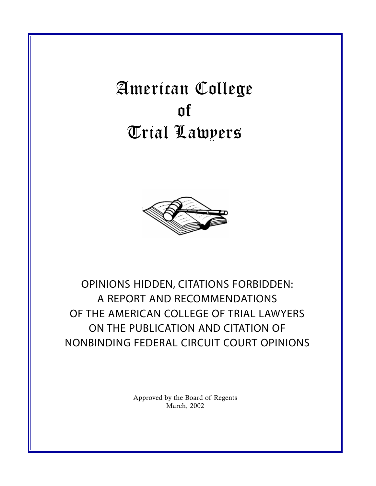American College of Trial Lawyers



OPINIONS HIDDEN, CITATIONS FORBIDDEN: A REPORT AND RECOMMENDATIONS OF THE AMERICAN COLLEGE OF TRIAL LAWYERS ON THE PUBLICATION AND CITATION OF NONBINDING FEDERAL CIRCUIT COURT OPINIONS

> Approved by the Board of Regents March, 2002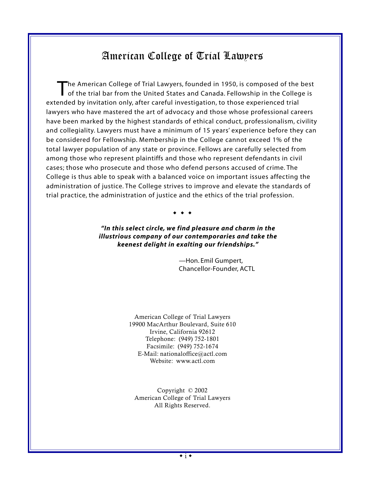# American College of Trial Lawyers

The American College of Trial Lawyers, founded in 1950, is composed of the best<br>of the trial bar from the United States and Canada. Fellowship in the College is extended by invitation only, after careful investigation, to those experienced trial lawyers who have mastered the art of advocacy and those whose professional careers have been marked by the highest standards of ethical conduct, professionalism, civility and collegiality. Lawyers must have a minimum of 15 years' experience before they can be considered for Fellowship. Membership in the College cannot exceed 1% of the total lawyer population of any state or province. Fellows are carefully selected from among those who represent plaintiffs and those who represent defendants in civil cases; those who prosecute and those who defend persons accused of crime. The College is thus able to speak with a balanced voice on important issues affecting the administration of justice. The College strives to improve and elevate the standards of trial practice, the administration of justice and the ethics of the trial profession.

 $\bullet$   $\bullet$ 

*"In this select circle, we find pleasure and charm in the illustrious company of our contemporaries and take the keenest delight in exalting our friendships."*

> *—*Hon. Emil Gumpert, Chancellor-Founder, ACTL

American College of Trial Lawyers 19900 MacArthur Boulevard, Suite 610 Irvine, California 92612 Telephone: (949) 752-1801 Facsimile: (949) 752-1674 E-Mail: nationaloffice@actl.com Website: www.actl.com

Copyright © 2002 American College of Trial Lawyers All Rights Reserved.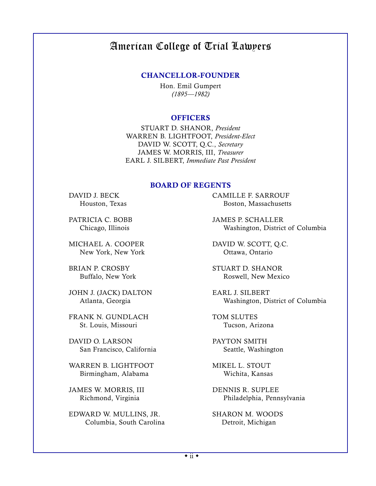# American College of Trial Lawyers

#### CHANCELLOR-FOUNDER

Hon. Emil Gumpert *(1895—1982)*

#### **OFFICERS**

STUART D. SHANOR, *President* WARREN B. LIGHTFOOT, *President-Elect* DAVID W. SCOTT, Q.C., *Secretary* JAMES W. MORRIS, III, *Treasurer* EARL J. SILBERT, *Immediate Past President*

#### BOARD OF REGENTS

MICHAEL A. COOPER DAVID W. SCOTT, Q.C. New York, New York Christian Contains Contains Ottawa, Ontario

JOHN J. (JACK) DALTON EARL J. SILBERT

FRANK N. GUNDLACH TOM SLUTES St. Louis, Missouri Tucson, Arizona

DAVID O. LARSON PAYTON SMITH San Francisco, California Seattle, Washington

WARREN B. LIGHTFOOT MIKEL L. STOUT Birmingham, Alabama Wichita, Kansas

JAMES W. MORRIS, III DENNIS R. SUPLEE

EDWARD W. MULLINS, JR. SHARON M. WOODS Columbia, South Carolina Detroit, Michigan

DAVID J. BECK CAMILLE F. SARROUF Houston, Texas Boston, Massachusetts

PATRICIA C. BOBB JAMES P. SCHALLER Chicago, Illinois Washington, District of Columbia

BRIAN P. CROSBY STUART D. SHANOR Buffalo, New York Roswell, New Mexico

Atlanta, Georgia Washington, District of Columbia

Richmond, Virginia Philadelphia, Pennsylvania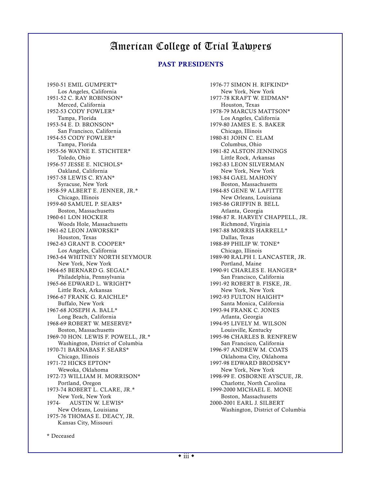# American College of Trial Lawyers

#### PAST PRESIDENTS

Los Angeles, California 1951-52 C. RAY ROBINSON\* 1977-78 KRAFT W. EIDM Merced, California Houston, Texas Tampa, Florida Los Angeles, California 1953-54 E. D. BRONSON\* 1979-80 JAMES E. S. BAKER San Francisco, California Chicago, Illinois 1954-55 CODY FOWLER\* 1980-81 JOHN C. ELAM Tampa, Florida Columbus, Ohio 1955-56 WAYNE E. STICHTER\* 1981-82 ALSTON JENNINGS Toledo, Ohio Little Rock, Arkansas 1956-57 JESSE E. NICHOLS\* 1982-83 LEON SILVERMAN Oakland, California New York, New York 1957-58 LEWIS C. RYAN\* 1983-84 GAEL MAHONY Syracuse, New York **Boston, Massachusetts** Boston, Massachusetts 1958-59 ALBERT E. JENNER, JR.\* 1984-85 GENE W. LAFITTE Chicago, Illinois **New Orleans, Louisiana** 1959-60 SAMUEL P. SEARS\* 1985-86 GRIFFIN B. BELL Boston, Massachusetts Atlanta, Georgia 1960-61 LON HOCKER 1986-87 R. HARVEY CHAPPELL, JR. Woods Hole, Massachusetts **Richmond, Virginia** 1961-62 LEON JAWORSKI\* 1987-88 MORRIS HARRELL\* Houston, Texas Dallas, Texas 1962-63 GRANT B. COOPER\* 1988-89 PHILIP W. TONE\* Los Angeles, California Chicago, Illinois 1963-64 WHITNEY NORTH SEYMOUR 1989-90 RALPH I. LANCASTER, JR. New York, New York **Portland**, Maine Portland, Maine 1964-65 BERNARD G. SEGAL\* 1990-91 CHARLES E. HANGER\* Philadelphia, Pennsylvania San Francisco, California 1965-66 EDWARD L. WRIGHT\* 1991-92 ROBERT B. FISKE, JR. Little Rock, Arkansas New York, New York, New York, New York, New York, New York, New York, New York, New York 1966-67 FRANK G. RAICHLE\* 1992-93 FULTON HAIGHT\* Buffalo, New York Santa Monica, California 1967-68 JOSEPH A. BALL\* 1993-94 FRANK C. JONES Long Beach, California and Atlanta, Georgia 1968-69 ROBERT W. MESERVE\* 1994-95 LIVELY M. WILSON Boston, Massachusetts **Louisville, Kentucky** 1969-70 HON. LEWIS F. POWELL, JR.\* 1995-96 CHARLES B. RENFREW Washington, District of Columbia San Francisco, California 1970-71 BARNABAS F. SEARS\* 1996-97 ANDREW M. COATS Chicago, Illinois Oklahoma City, Oklahoma 1971-72 HICKS EPTON\* 1997-98 EDWARD BRODSKY\* Wewoka, Oklahoma New York, New York, New York 1972-73 WILLIAM H. MORRISON\* 1998-99 E. OSBORNE AYSCUE, JR. Portland, Oregon Charlotte, North Carolina 1973-74 ROBERT L. CLARE, JR.\* 1999-2000 MICHAEL E. MONE New York, New York Boston, Massachusetts 1974- AUSTIN W. LEWIS\* 2000-2001 EARL J. SILBERT 1975-76 THOMAS E. DEACY, JR. Kansas City, Missouri

1950-51 EMIL GUMPERT\* 1976-77 SIMON H. RIFKIND\* 1977-78 KRAFT W. EIDMAN\* 1978-79 MARCUS MATTSON\* New Orleans, Louisiana Washington, District of Columbia

\* Deceased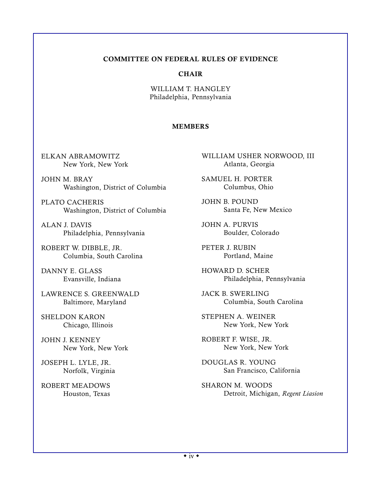## COMMITTEE ON FEDERAL RULES OF EVIDENCE

### **CHAIR**

WILLIAM T. HANGLEY Philadelphia, Pennsylvania

## MEMBERS

ELKAN ABRAMOWITZ New York, New York

JOHN M. BRAY Washington, District of Columbia

PLATO CACHERIS Washington, District of Columbia

ALAN J. DAVIS Philadelphia, Pennsylvania

ROBERT W. DIBBLE, JR. Columbia, South Carolina

DANNY E. GLASS Evansville, Indiana

LAWRENCE S. GREENWALD Baltimore, Maryland

SHELDON KARON Chicago, Illinois

JOHN J. KENNEY New York, New York

JOSEPH L. LYLE, JR. Norfolk, Virginia

ROBERT MEADOWS Houston, Texas WILLIAM USHER NORWOOD, III Atlanta, Georgia

SAMUEL H. PORTER Columbus, Ohio

JOHN B. POUND Santa Fe, New Mexico

JOHN A. PURVIS Boulder, Colorado

PETER J. RUBIN Portland, Maine

HOWARD D. SCHER Philadelphia, Pennsylvania

JACK B. SWERLING Columbia, South Carolina

STEPHEN A. WEINER New York, New York

ROBERT F. WISE, JR. New York, New York

DOUGLAS R. YOUNG San Francisco, California

SHARON M. WOODS Detroit, Michigan, *Regent Liasion*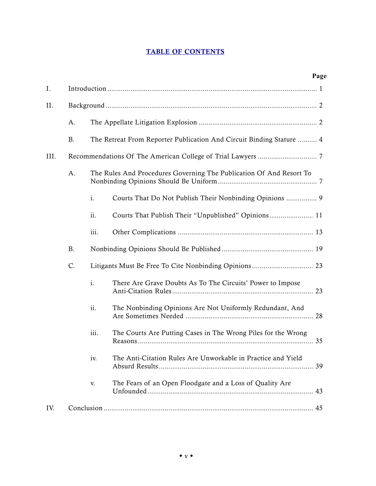## TABLE OF CONTENTS

|      |           |                                                                     |                                                                      | Page |
|------|-----------|---------------------------------------------------------------------|----------------------------------------------------------------------|------|
| I.   |           |                                                                     |                                                                      |      |
| II.  |           |                                                                     |                                                                      |      |
|      | A.        |                                                                     |                                                                      |      |
|      | <b>B.</b> |                                                                     | The Retreat From Reporter Publication And Circuit Binding Stature  4 |      |
| III. |           |                                                                     |                                                                      |      |
|      | A.        | The Rules And Procedures Governing The Publication Of And Resort To |                                                                      |      |
|      |           | i.                                                                  | Courts That Do Not Publish Their Nonbinding Opinions  9              |      |
|      |           | ii.                                                                 | Courts That Publish Their "Unpublished" Opinions 11                  |      |
|      |           | iii.                                                                |                                                                      |      |
|      | <b>B.</b> |                                                                     |                                                                      |      |
|      | C.        |                                                                     | Litigants Must Be Free To Cite Nonbinding Opinions  23               |      |
|      |           | i.                                                                  | There Are Grave Doubts As To The Circuits' Power to Impose           |      |
|      |           | ii.                                                                 | The Nonbinding Opinions Are Not Uniformly Redundant, And             |      |
|      |           | iii.                                                                | The Courts Are Putting Cases in The Wrong Piles for the Wrong        |      |
|      |           | iv.                                                                 | The Anti-Citation Rules Are Unworkable in Practice and Yield         |      |
|      |           | V.                                                                  | The Fears of an Open Floodgate and a Loss of Quality Are             |      |
| IV.  |           |                                                                     |                                                                      |      |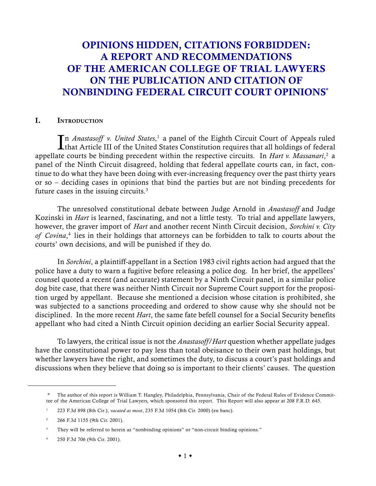# OPINIONS HIDDEN, CITATIONS FORBIDDEN: A REPORT AND RECOMMENDATIONS OF THE AMERICAN COLLEGE OF TRIAL LAWYERS ON THE PUBLICATION AND CITATION OF NONBINDING FEDERAL CIRCUIT COURT OPINIONS\*

#### I. INTRODUCTION

In *Anastasoff v. United States*,<sup>1</sup> a panel of the Eighth Circuit Court of Appeals ruled that Article III of the United States Constitution requires that all holdings of federal that Article III of the United States Constitution requires that all holdings of federal appellate courts be binding precedent within the respective circuits. In *Hart v. Massanari*, 2 a panel of the Ninth Circuit disagreed, holding that federal appellate courts can, in fact, continue to do what they have been doing with ever-increasing frequency over the past thirty years or so – deciding cases in opinions that bind the parties but are not binding precedents for future cases in the issuing circuits.<sup>3</sup>

The unresolved constitutional debate between Judge Arnold in *Anastasoff* and Judge Kozinski in *Hart* is learned, fascinating, and not a little testy. To trial and appellate lawyers, however, the graver import of *Hart* and another recent Ninth Circuit decision, *Sorchini v. City of Covina*, 4 lies in their holdings that attorneys can be forbidden to talk to courts about the courts' own decisions, and will be punished if they do.

In *Sorchini*, a plaintiff-appellant in a Section 1983 civil rights action had argued that the police have a duty to warn a fugitive before releasing a police dog. In her brief, the appellees' counsel quoted a recent (and accurate) statement by a Ninth Circuit panel, in a similar police dog bite case, that there was neither Ninth Circuit nor Supreme Court support for the proposition urged by appellant. Because she mentioned a decision whose citation is prohibited, she was subjected to a sanctions proceeding and ordered to show cause why she should not be disciplined. In the more recent *Hart*, the same fate befell counsel for a Social Security benefits appellant who had cited a Ninth Circuit opinion deciding an earlier Social Security appeal.

To lawyers, the critical issue is not the *Anastasoff/Hart* question whether appellate judges have the constitutional power to pay less than total obeisance to their own past holdings, but whether lawyers have the right, and sometimes the duty, to discuss a court's past holdings and discussions when they believe that doing so is important to their clients' causes. The question

<sup>\*</sup> The author of this report is William T. Hangley, Philadelphia, Pennsylvania, Chair of the Federal Rules of Evidence Committee of the American College of Trial Lawyers, which sponsored this report. This Report will also appear at 208 F.R.D. 645.

<sup>1</sup> 223 F.3d 898 (8th Cir.), *vacated as moot*, 235 F.3d 1054 (8th Cir. 2000) (en banc).

<sup>2</sup> 266 F.3d 1155 (9th Cir. 2001).

<sup>&</sup>lt;sup>3</sup> They will be referred to herein as "nonbinding opinions" or "non-circuit binding opinions."

<sup>4</sup> 250 F.3d 706 (9th Cir. 2001).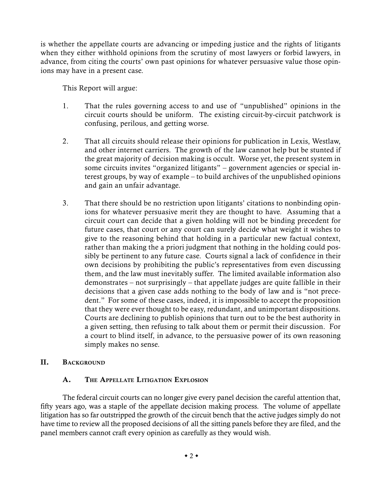is whether the appellate courts are advancing or impeding justice and the rights of litigants when they either withhold opinions from the scrutiny of most lawyers or forbid lawyers, in advance, from citing the courts' own past opinions for whatever persuasive value those opinions may have in a present case.

This Report will argue:

- 1. That the rules governing access to and use of "unpublished" opinions in the circuit courts should be uniform. The existing circuit-by-circuit patchwork is confusing, perilous, and getting worse.
- 2. That all circuits should release their opinions for publication in Lexis, Westlaw, and other internet carriers. The growth of the law cannot help but be stunted if the great majority of decision making is occult. Worse yet, the present system in some circuits invites "organized litigants" – government agencies or special interest groups, by way of example – to build archives of the unpublished opinions and gain an unfair advantage.
- 3. That there should be no restriction upon litigants' citations to nonbinding opinions for whatever persuasive merit they are thought to have. Assuming that a circuit court can decide that a given holding will not be binding precedent for future cases, that court or any court can surely decide what weight it wishes to give to the reasoning behind that holding in a particular new factual context, rather than making the a priori judgment that nothing in the holding could possibly be pertinent to any future case. Courts signal a lack of confidence in their own decisions by prohibiting the public's representatives from even discussing them, and the law must inevitably suffer. The limited available information also demonstrates – not surprisingly – that appellate judges are quite fallible in their decisions that a given case adds nothing to the body of law and is "not precedent." For some of these cases, indeed, it is impossible to accept the proposition that they were ever thought to be easy, redundant, and unimportant dispositions. Courts are declining to publish opinions that turn out to be the best authority in a given setting, then refusing to talk about them or permit their discussion. For a court to blind itself, in advance, to the persuasive power of its own reasoning simply makes no sense.

## II. BACKGROUND

# A. THE APPELLATE LITIGATION EXPLOSION

The federal circuit courts can no longer give every panel decision the careful attention that, fifty years ago, was a staple of the appellate decision making process. The volume of appellate litigation has so far outstripped the growth of the circuit bench that the active judges simply do not have time to review all the proposed decisions of all the sitting panels before they are filed, and the panel members cannot craft every opinion as carefully as they would wish.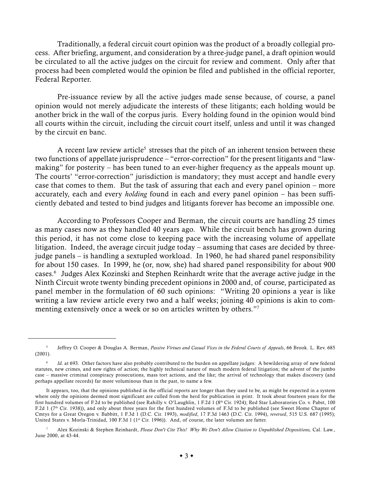Traditionally, a federal circuit court opinion was the product of a broadly collegial process. After briefing, argument, and consideration by a three-judge panel, a draft opinion would be circulated to all the active judges on the circuit for review and comment. Only after that process had been completed would the opinion be filed and published in the official reporter, Federal Reporter.

Pre-issuance review by all the active judges made sense because, of course, a panel opinion would not merely adjudicate the interests of these litigants; each holding would be another brick in the wall of the corpus juris. Every holding found in the opinion would bind all courts within the circuit, including the circuit court itself, unless and until it was changed by the circuit en banc.

A recent law review article<sup>5</sup> stresses that the pitch of an inherent tension between these two functions of appellate jurisprudence – "error-correction" for the present litigants and "lawmaking" for posterity – has been tuned to an ever-higher frequency as the appeals mount up. The courts' "error-correction" jurisdiction is mandatory; they must accept and handle every case that comes to them. But the task of assuring that each and every panel opinion – more accurately, each and every *holding* found in each and every panel opinion – has been sufficiently debated and tested to bind judges and litigants forever has become an impossible one.

According to Professors Cooper and Berman, the circuit courts are handling 25 times as many cases now as they handled 40 years ago. While the circuit bench has grown during this period, it has not come close to keeping pace with the increasing volume of appellate litigation. Indeed, the average circuit judge today – assuming that cases are decided by threejudge panels – is handling a sextupled workload. In 1960, he had shared panel responsibility for about 150 cases. In 1999, he (or, now, she) had shared panel responsibility for about 900 cases.6 Judges Alex Kozinski and Stephen Reinhardt write that the average active judge in the Ninth Circuit wrote twenty binding precedent opinions in 2000 and, of course, participated as panel member in the formulation of 60 such opinions: "Writing 20 opinions a year is like writing a law review article every two and a half weeks; joining 40 opinions is akin to commenting extensively once a week or so on articles written by others."7

<sup>5</sup> Jeffrey O. Cooper & Douglas A. Berman, *Passive Virtues and Casual Vices in the Federal Courts of Appeals*, 66 Brook. L. Rev. 685  $(2001)$ .

Id. at 693. Other factors have also probably contributed to the burden on appellate judges: A bewildering array of new federal statutes, new crimes, and new rights of action; the highly technical nature of much modern federal litigation; the advent of the jumbo case – massive criminal conspiracy prosecutions, mass tort actions, and the like; the arrival of technology that makes discovery (and perhaps appellate records) far more voluminous than in the past, to name a few.

It appears, too, that the opinions published in the official reports are longer than they used to be, as might be expected in a system where only the opinions deemed most significant are culled from the herd for publication in print. It took about fourteen years for the first hundred volumes of F.2d to be published (see Rahilly v. O'Laughlin, 1 F.2d 1 (8<sup>th</sup> Cir. 1924); Red Star Laboratories Co. v. Pabst, 100 F.2d 1 (7<sup>th</sup> Cir. 1938)), and only about three years for the first hundred volumes of F.3d to be published (see Sweet Home Chapter of Cmtys for a Great Oregon v. Babbitt, 1 F.3d 1 (D.C. Cir. 1993), *modified*, 17 F.3d 1463 (D.C. Cir. 1994), *reversed*, 515 U.S. 687 (1995); United States v. Morla-Trinidad, 100 F.3d 1 (1<sup>st</sup> Cir. 1996)). And, of course, the later volumes are fatter.

<sup>7</sup> Alex Kozinski & Stephen Reinhardt, *Please Don't Cite This! Why We Don't Allow Citation to Unpublished Dispositions,* Cal. Law., June 2000, at 43-44.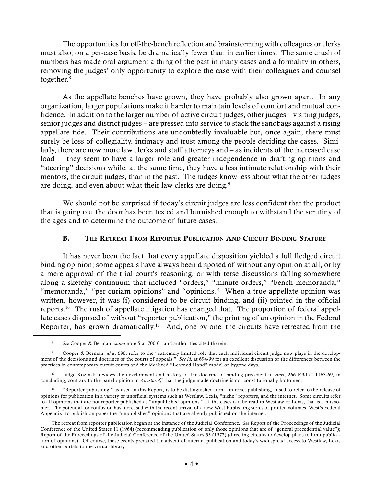The opportunities for off-the-bench reflection and brainstorming with colleagues or clerks must also, on a per-case basis, be dramatically fewer than in earlier times. The same crush of numbers has made oral argument a thing of the past in many cases and a formality in others, removing the judges' only opportunity to explore the case with their colleagues and counsel together.8

As the appellate benches have grown, they have probably also grown apart. In any organization, larger populations make it harder to maintain levels of comfort and mutual confidence. In addition to the larger number of active circuit judges, other judges – visiting judges, senior judges and district judges – are pressed into service to stack the sandbags against a rising appellate tide. Their contributions are undoubtedly invaluable but, once again, there must surely be loss of collegiality, intimacy and trust among the people deciding the cases. Similarly, there are now more law clerks and staff attorneys and – as incidents of the increased case load – they seem to have a larger role and greater independence in drafting opinions and "steering" decisions while, at the same time, they have a less intimate relationship with their mentors, the circuit judges, than in the past. The judges know less about what the other judges are doing, and even about what their law clerks are doing.<sup>9</sup>

We should not be surprised if today's circuit judges are less confident that the product that is going out the door has been tested and burnished enough to withstand the scrutiny of the ages and to determine the outcome of future cases.

#### B. THE RETREAT FROM REPORTER PUBLICATION AND CIRCUIT BINDING STATURE

It has never been the fact that every appellate disposition yielded a full fledged circuit binding opinion; some appeals have always been disposed of without any opinion at all, or by a mere approval of the trial court's reasoning, or with terse discussions falling somewhere along a sketchy continuum that included "orders," "minute orders," "bench memoranda," "memoranda," "per curiam opinions" and "opinions." When a true appellate opinion was written, however, it was (i) considered to be circuit binding, and (ii) printed in the official reports.10 The rush of appellate litigation has changed that. The proportion of federal appellate cases disposed of without "reporter publication," the printing of an opinion in the Federal Reporter, has grown dramatically.<sup>11</sup> And, one by one, the circuits have retreated from the

<sup>8</sup> *See* Cooper & Berman, *supra* note 5 at 700-01 and authorities cited therein.

<sup>9</sup> Cooper & Berman, *id* at 690, refer to the "extremely limited role that each individual circuit judge now plays in the development of the decisions and doctrines of the courts of appeals." *See id.* at 694-99 for an excellent discussion of the differences between the practices in contemporary circuit courts and the idealized "Learned Hand" model of bygone days.

<sup>10</sup> Judge Kozinski reviews the development and history of the doctrine of binding precedent in *Hart*, 266 F.3d at 1163-69, in concluding, contrary to the panel opinion in *Anastasoff*, that the judge-made doctrine is not constitutionally bottomed.

<sup>11</sup> "Reporter publishing," as used in this Report, is to be distinguished from "internet publishing," used to refer to the release of opinions for publication in a variety of unofficial systems such as Westlaw, Lexis, "niche" reporters, and the internet. Some circuits refer to all opinions that are not reporter published as "unpublished opinions." If the cases can be read in Westlaw or Lexis, that is a misnomer. The potential for confusion has increased with the recent arrival of a new West Publishing series of printed volumes, West's Federal Appendix, to publish on paper the "unpublished" opinions that are already published on the internet.

The retreat from reporter publication began at the instance of the Judicial Conference. *See* Report of the Proceedings of the Judicial Conference of the United States 11 (1964) (recommending publication of only those opinions that are of "general precedential value"); Report of the Proceedings of the Judicial Conference of the United States 33 (1972) (directing circuits to develop plans to limit publication of opinions). Of course, these events predated the advent of internet publication and today's widespread access to Westlaw, Lexis and other portals to the virtual library.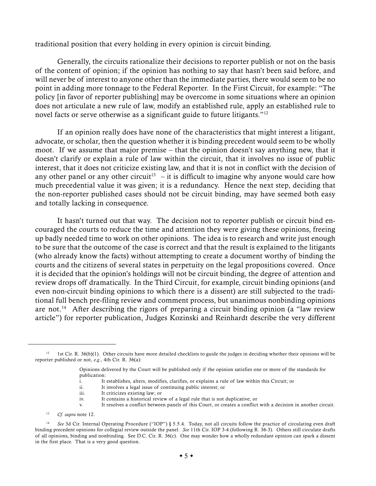traditional position that every holding in every opinion is circuit binding.

Generally, the circuits rationalize their decisions to reporter publish or not on the basis of the content of opinion; if the opinion has nothing to say that hasn't been said before, and will never be of interest to anyone other than the immediate parties, there would seem to be no point in adding more tonnage to the Federal Reporter. In the First Circuit, for example: "The policy [in favor of reporter publishing] may be overcome in some situations where an opinion does not articulate a new rule of law, modify an established rule, apply an established rule to novel facts or serve otherwise as a significant guide to future litigants."<sup>12</sup>

If an opinion really does have none of the characteristics that might interest a litigant, advocate, or scholar, then the question whether it is binding precedent would seem to be wholly moot. If we assume that major premise – that the opinion doesn't say anything new, that it doesn't clarify or explain a rule of law within the circuit, that it involves no issue of public interest, that it does not criticize existing law, and that it is not in conflict with the decision of any other panel or any other circuit<sup>13</sup> – it is difficult to imagine why anyone would care how much precedential value it was given; it is a redundancy. Hence the next step, deciding that the non-reporter published cases should not be circuit binding, may have seemed both easy and totally lacking in consequence.

It hasn't turned out that way. The decision not to reporter publish or circuit bind encouraged the courts to reduce the time and attention they were giving these opinions, freeing up badly needed time to work on other opinions. The idea is to research and write just enough to be sure that the outcome of the case is correct and that the result is explained to the litigants (who already know the facts) without attempting to create a document worthy of binding the courts and the citizens of several states in perpetuity on the legal propositions covered. Once it is decided that the opinion's holdings will not be circuit binding, the degree of attention and review drops off dramatically. In the Third Circuit, for example, circuit binding opinions (and even non-circuit binding opinions to which there is a dissent) are still subjected to the traditional full bench pre-filing review and comment process, but unanimous nonbinding opinions are not.<sup>14</sup> After describing the rigors of preparing a circuit binding opinion (a "law review article") for reporter publication, Judges Kozinski and Reinhardt describe the very different

<sup>12</sup> 1st Cir. R. 36(b)(1). Other circuits have more detailed checklists to guide the judges in deciding whether their opinions will be reporter published or not, *e.g.*, 4th Cir. R. 36(a):

Opinions delivered by the Court will be published only if the opinion satisfies one or more of the standards for publication:

i. It establishes, alters, modifies, clarifies, or explains a rule of law within this Circuit; or

ii. It involves a legal issue of continuing public interest; or

iii. It criticizes existing law; or

iv. It contains a historical review of a legal rule that is not duplicative; or

v. It resolves a conflict between panels of this Court, or creates a conflict with a decision in another circuit.

<sup>13</sup> *Cf. supra* note 12.

<sup>&</sup>lt;sup>14</sup> See 3d Cir. Internal Operating Procedure ("IOP") § 5.5.4. Today, not all circuits follow the practice of circulating even draft binding precedent opinions for collegial review outside the panel. *See* 11th Cir. IOP 3-4 (following R. 36-3). Others still circulate drafts of all opinions, binding and nonbinding. See D.C. Cir. R. 36(c). One may wonder how a wholly redundant opinion can spark a dissent in the first place. That is a very good question.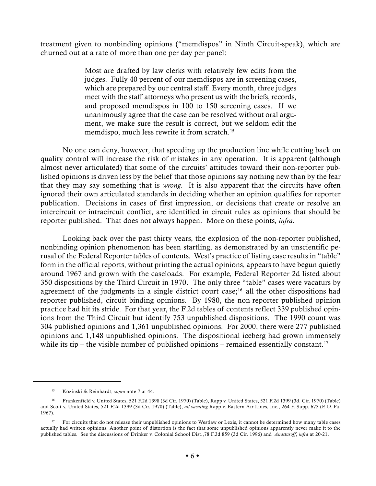treatment given to nonbinding opinions ("memdispos" in Ninth Circuit-speak), which are churned out at a rate of more than one per day per panel:

> Most are drafted by law clerks with relatively few edits from the judges. Fully 40 percent of our memdispos are in screening cases, which are prepared by our central staff. Every month, three judges meet with the staff attorneys who present us with the briefs, records, and proposed memdispos in 100 to 150 screening cases. If we unanimously agree that the case can be resolved without oral argument, we make sure the result is correct, but we seldom edit the memdispo, much less rewrite it from scratch.<sup>15</sup>

No one can deny, however, that speeding up the production line while cutting back on quality control will increase the risk of mistakes in any operation. It is apparent (although almost never articulated) that some of the circuits' attitudes toward their non-reporter published opinions is driven less by the belief that those opinions say nothing new than by the fear that they may say something that is *wrong*. It is also apparent that the circuits have often ignored their own articulated standards in deciding whether an opinion qualifies for reporter publication. Decisions in cases of first impression, or decisions that create or resolve an intercircuit or intracircuit conflict, are identified in circuit rules as opinions that should be reporter published. That does not always happen. More on these points, *infra*.

Looking back over the past thirty years, the explosion of the non-reporter published, nonbinding opinion phenomenon has been startling, as demonstrated by an unscientific perusal of the Federal Reporter tables of contents. West's practice of listing case results in "table" form in the official reports, without printing the actual opinions, appears to have begun quietly around 1967 and grown with the caseloads. For example, Federal Reporter 2d listed about 350 dispositions by the Third Circuit in 1970. The only three "table" cases were vacaturs by agreement of the judgments in a single district court case;<sup>16</sup> all the other dispositions had reporter published, circuit binding opinions. By 1980, the non-reporter published opinion practice had hit its stride. For that year, the F.2d tables of contents reflect 339 published opinions from the Third Circuit but identify 753 unpublished dispositions. The 1990 count was 304 published opinions and 1,361 unpublished opinions. For 2000, there were 277 published opinions and 1,148 unpublished opinions. The dispositional iceberg had grown immensely while its tip – the visible number of published opinions – remained essentially constant.<sup>17</sup>

<sup>15</sup> Kozinski & Reinhardt, *supra* note 7 at 44.

<sup>16</sup> Frankenfield v. United States, 521 F.2d 1398 (3d Cir. 1970) (Table), Rapp v. United States, 521 F.2d 1399 (3d. Cir. 1970) (Table) and Scott v. United States, 521 F.2d 1399 (3d Cir. 1970) (Table), *all vacating* Rapp v. Eastern Air Lines, Inc., 264 F. Supp. 673 (E.D. Pa. 1967).

<sup>&</sup>lt;sup>17</sup> For circuits that do not release their unpublished opinions to Westlaw or Lexis, it cannot be determined how many table cases actually had written opinions. Another point of distortion is the fact that some unpublished opinions apparently never make it to the published tables. See the discussions of Drinker v. Colonial School Dist.,78 F.3d 859 (3d Cir. 1996) and *Anastasoff*, *infra* at 20-21.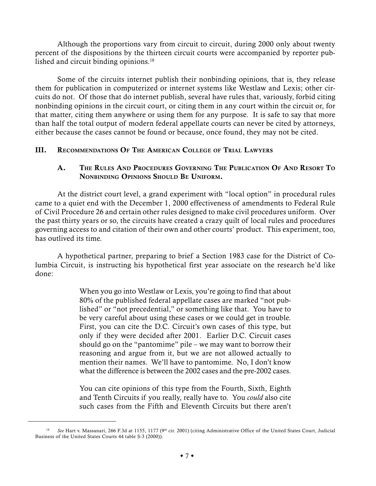Although the proportions vary from circuit to circuit, during 2000 only about twenty percent of the dispositions by the thirteen circuit courts were accompanied by reporter published and circuit binding opinions.<sup>18</sup>

Some of the circuits internet publish their nonbinding opinions, that is, they release them for publication in computerized or internet systems like Westlaw and Lexis; other circuits do not. Of those that do internet publish, several have rules that, variously, forbid citing nonbinding opinions in the circuit court, or citing them in any court within the circuit or, for that matter, citing them anywhere or using them for any purpose. It is safe to say that more than half the total output of modern federal appellate courts can never be cited by attorneys, either because the cases cannot be found or because, once found, they may not be cited.

## III. RECOMMENDATIONS OF THE AMERICAN COLLEGE OF TRIAL LAWYERS

## A. THE RULES AND PROCEDURES GOVERNING THE PUBLICATION OF AND RESORT TO NONBINDING OPINIONS SHOULD BE UNIFORM.

At the district court level, a grand experiment with "local option" in procedural rules came to a quiet end with the December 1, 2000 effectiveness of amendments to Federal Rule of Civil Procedure 26 and certain other rules designed to make civil procedures uniform. Over the past thirty years or so, the circuits have created a crazy quilt of local rules and procedures governing access to and citation of their own and other courts' product. This experiment, too, has outlived its time.

A hypothetical partner, preparing to brief a Section 1983 case for the District of Columbia Circuit, is instructing his hypothetical first year associate on the research he'd like done:

> When you go into Westlaw or Lexis, you're going to find that about 80% of the published federal appellate cases are marked "not published" or "not precedential," or something like that. You have to be very careful about using these cases or we could get in trouble. First, you can cite the D.C. Circuit's own cases of this type, but only if they were decided after 2001. Earlier D.C. Circuit cases should go on the "pantomime" pile – we may want to borrow their reasoning and argue from it, but we are not allowed actually to mention their names. We'll have to pantomime. No, I don't know what the difference is between the 2002 cases and the pre-2002 cases.

> You can cite opinions of this type from the Fourth, Sixth, Eighth and Tenth Circuits if you really, really have to. You *could* also cite such cases from the Fifth and Eleventh Circuits but there aren't

<sup>&</sup>lt;sup>18</sup> See Hart v. Massanari, 266 F.3d at 1155, 1177 (9<sup>th</sup> cir. 2001) (citing Administrative Office of the United States Court, Judicial Business of the United States Courts 44 table S-3 (2000)).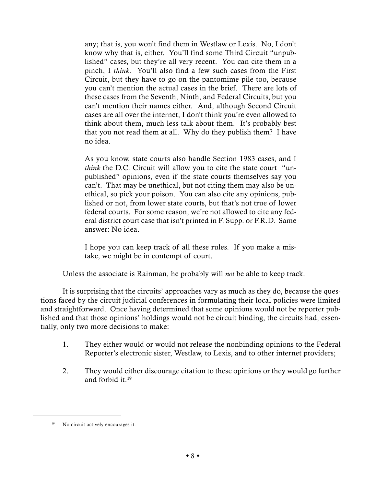any; that is, you won't find them in Westlaw or Lexis. No, I don't know why that is, either. You'll find some Third Circuit "unpublished" cases, but they're all very recent. You can cite them in a pinch, I *think*. You'll also find a few such cases from the First Circuit, but they have to go on the pantomime pile too, because you can't mention the actual cases in the brief. There are lots of these cases from the Seventh, Ninth, and Federal Circuits, but you can't mention their names either. And, although Second Circuit cases are all over the internet, I don't think you're even allowed to think about them, much less talk about them. It's probably best that you not read them at all. Why do they publish them? I have no idea.

As you know, state courts also handle Section 1983 cases, and I *think* the D.C. Circuit will allow you to cite the state court "unpublished" opinions, even if the state courts themselves say you can't. That may be unethical, but not citing them may also be unethical, so pick your poison. You can also cite any opinions, published or not, from lower state courts, but that's not true of lower federal courts. For some reason, we're not allowed to cite any federal district court case that isn't printed in F. Supp. or F.R.D. Same answer: No idea.

I hope you can keep track of all these rules. If you make a mistake, we might be in contempt of court.

Unless the associate is Rainman, he probably will *not* be able to keep track.

It is surprising that the circuits' approaches vary as much as they do, because the questions faced by the circuit judicial conferences in formulating their local policies were limited and straightforward. Once having determined that some opinions would not be reporter published and that those opinions' holdings would not be circuit binding, the circuits had, essentially, only two more decisions to make:

- 1. They either would or would not release the nonbinding opinions to the Federal Reporter's electronic sister, Westlaw, to Lexis, and to other internet providers;
- 2. They would either discourage citation to these opinions or they would go further and forbid it.<sup>19</sup>

<sup>&</sup>lt;sup>19</sup> No circuit actively encourages it.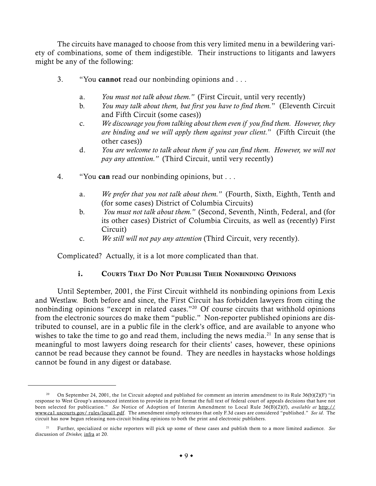The circuits have managed to choose from this very limited menu in a bewildering variety of combinations, some of them indigestible. Their instructions to litigants and lawyers might be any of the following:

- 3. "You cannot read our nonbinding opinions and ...
	- a. *You must not talk about them."* (First Circuit, until very recently)
	- b. *You may talk about them, but first you have to find them.*" (Eleventh Circuit and Fifth Circuit (some cases))
	- c. *We discourage you from talking about them even if you find them. However, they are binding and we will apply them against your client.*" (Fifth Circuit (the other cases))
	- d. *You are welcome to talk about them if you can find them. However, we will not pay any attention."* (Third Circuit, until very recently)
- 4. "You can read our nonbinding opinions, but . . .
	- a. *We prefer that you not talk about them."* (Fourth, Sixth, Eighth, Tenth and (for some cases) District of Columbia Circuits)
	- b. *You must not talk about them."* (Second, Seventh, Ninth, Federal, and (for its other cases) District of Columbia Circuits, as well as (recently) First Circuit)
	- c. *We still will not pay any attention* (Third Circuit, very recently).

Complicated? Actually, it is a lot more complicated than that.

## i. COURTS THAT DO NOT PUBLISH THEIR NONBINDING OPINIONS

Until September, 2001, the First Circuit withheld its nonbinding opinions from Lexis and Westlaw. Both before and since, the First Circuit has forbidden lawyers from citing the nonbinding opinions "except in related cases."20 Of course circuits that withhold opinions from the electronic sources do make them "public." Non-reporter published opinions are distributed to counsel, are in a public file in the clerk's office, and are available to anyone who wishes to take the time to go and read them, including the news media.<sup>21</sup> In any sense that is meaningful to most lawyers doing research for their clients' cases, however, these opinions cannot be read because they cannot be found. They are needles in haystacks whose holdings cannot be found in any digest or database.

<sup>&</sup>lt;sup>20</sup> On September 24, 2001, the 1st Circuit adopted and published for comment an interim amendment to its Rule  $36(b)(2)(F)$  "in response to West Group's announced intention to provide in print format the full text of federal court of appeals decisions that have not been selected for publication." *See* Notice of Adoption of Interim Amendment to Local Rule 36(B)(2)(f), *available at* http:// www.ca1.uscourts.gov/ rules/local1.pdf. The amendment simply reiterates that only F.3d cases are considered "published." *See id*. The circuit has now begun releasing non-circuit binding opinions to both the print and electronic publishers.

<sup>21</sup> Further, specialized or niche reporters will pick up some of these cases and publish them to a more limited audience. *See* discussion of *Drinker,* infra at 20.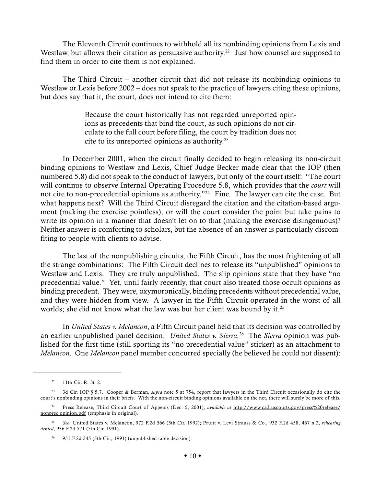The Eleventh Circuit continues to withhold all its nonbinding opinions from Lexis and Westlaw, but allows their citation as persuasive authority.<sup>22</sup> Just how counsel are supposed to find them in order to cite them is not explained.

The Third Circuit – another circuit that did not release its nonbinding opinions to Westlaw or Lexis before 2002 – does not speak to the practice of lawyers citing these opinions, but does say that it, the court, does not intend to cite them:

> Because the court historically has not regarded unreported opinions as precedents that bind the court, as such opinions do not circulate to the full court before filing, the court by tradition does not cite to its unreported opinions as authority.23

In December 2001, when the circuit finally decided to begin releasing its non-circuit binding opinions to Westlaw and Lexis, Chief Judge Becker made clear that the IOP (then numbered 5.8) did not speak to the conduct of lawyers, but only of the court itself: "The court will continue to observe Internal Operating Procedure 5.8, which provides that the *court* will not cite to non-precedential opinions as authority."24 Fine. The lawyer can cite the case. But what happens next? Will the Third Circuit disregard the citation and the citation-based argument (making the exercise pointless), or will the court consider the point but take pains to write its opinion in a manner that doesn't let on to that (making the exercise disingenuous)? Neither answer is comforting to scholars, but the absence of an answer is particularly discomfiting to people with clients to advise.

The last of the nonpublishing circuits, the Fifth Circuit, has the most frightening of all the strange combinations: The Fifth Circuit declines to release its "unpublished" opinions to Westlaw and Lexis. They are truly unpublished. The slip opinions state that they have "no precedential value." Yet, until fairly recently, that court also treated those occult opinions as binding precedent. They were, oxymoronically, binding precedents without precedential value, and they were hidden from view. A lawyer in the Fifth Circuit operated in the worst of all worlds; she did not know what the law was but her client was bound by it.<sup>25</sup>

In *United States v. Melancon*, a Fifth Circuit panel held that its decision was controlled by an earlier unpublished panel decision, *United States v. Sierra.*26 The *Sierra* opinion was published for the first time (still sporting its "no precedential value" sticker) as an attachment to *Melancon*. One *Melancon* panel member concurred specially (he believed he could not dissent):

<sup>22</sup> 11th Cir. R. 36-2.

<sup>&</sup>lt;sup>23</sup> 3d Cir. IOP § 5.7. Cooper & Berman, *supra* note 5 at 754, report that lawyers in the Third Circuit occasionally do cite the court's nonbinding opinions in their briefs. With the non-circuit binding opinions available on the net, there will surely be more of this.

<sup>24</sup> Press Release, Third Circuit Court of Appeals (Dec. 5, 2001), *available at* http://www.ca3.uscourts.gov/press%20release/ nonprec.opinion.pdf (emphasis in original).

<sup>25</sup> *See* United States v. Melancon, 972 F.2d 566 (5th Cir. 1992); Pruitt v. Levi Strauss & Co., 932 F.2d 458, 467 n.2, *rehearing denied*, 936 F.2d 571 (5th Cir. 1991).

<sup>26</sup> 951 F.2d 345 (5th Cir., 1991) (unpublished table decision).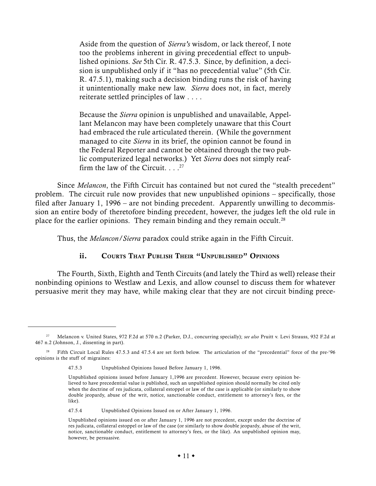Aside from the question of *Sierra's* wisdom, or lack thereof, I note too the problems inherent in giving precedential effect to unpublished opinions. *See* 5th Cir. R. 47.5.3. Since, by definition, a decision is unpublished only if it "has no precedential value" (5th Cir. R. 47.5.1), making such a decision binding runs the risk of having it unintentionally make new law. *Sierra* does not, in fact, merely reiterate settled principles of law . . . .

Because the *Sierra* opinion is unpublished and unavailable, Appellant Melancon may have been completely unaware that this Court had embraced the rule articulated therein. (While the government managed to cite *Sierra* in its brief, the opinion cannot be found in the Federal Reporter and cannot be obtained through the two public computerized legal networks.) Yet *Sierra* does not simply reaffirm the law of the Circuit.  $\ldots$ <sup>27</sup>

Since *Melancon*, the Fifth Circuit has contained but not cured the "stealth precedent" problem. The circuit rule now provides that new unpublished opinions – specifically, those filed after January 1, 1996 – are not binding precedent. Apparently unwilling to decommission an entire body of theretofore binding precedent, however, the judges left the old rule in place for the earlier opinions. They remain binding and they remain occult.<sup>28</sup>

Thus, the *Melancon/Sierra* paradox could strike again in the Fifth Circuit.

## ii. COURTS THAT PUBLISH THEIR "UNPUBLISHED" OPINIONS

The Fourth, Sixth, Eighth and Tenth Circuits (and lately the Third as well) release their nonbinding opinions to Westlaw and Lexis, and allow counsel to discuss them for whatever persuasive merit they may have, while making clear that they are not circuit binding prece-

<sup>27</sup> Melancon v. United States, 972 F.2d at 570 n.2 (Parker, D.J., concurring specially); *see also* Pruitt v. Levi Strauss, 932 F.2d at 467 n.2 (Johnson, J., dissenting in part).

<sup>&</sup>lt;sup>28</sup> Fifth Circuit Local Rules 47.5.3 and 47.5.4 are set forth below. The articulation of the "precedential" force of the pre-'96 opinions is the stuff of migraines:

<sup>47.5.3</sup> Unpublished Opinions Issued Before January 1, 1996.

Unpublished opinions issued before January 1,1996 are precedent. However, because every opinion believed to have precedential value is published, such an unpublished opinion should normally be cited only when the doctrine of res judicata, collateral estoppel or law of the case is applicable (or similarly to show double jeopardy, abuse of the writ, notice, sanctionable conduct, entitlement to attorney's fees, or the like).

<sup>47.5.4</sup> Unpublished Opinions Issued on or After January 1, 1996.

Unpublished opinions issued on or after January 1, 1996 are not precedent, except under the doctrine of res judicata, collateral estoppel or law of the case (or similarly to show double jeopardy, abuse of the writ, notice, sanctionable conduct, entitlement to attorney's fees, or the like). An unpublished opinion may, however, be persuasive.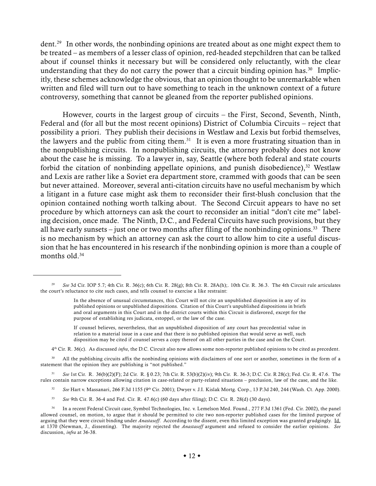dent.<sup>29</sup> In other words, the nonbinding opinions are treated about as one might expect them to be treated – as members of a lesser class of opinion, red-headed stepchildren that can be talked about if counsel thinks it necessary but will be considered only reluctantly, with the clear understanding that they do not carry the power that a circuit binding opinion has.<sup>30</sup> Implicitly, these schemes acknowledge the obvious, that an opinion thought to be unremarkable when written and filed will turn out to have something to teach in the unknown context of a future controversy, something that cannot be gleaned from the reporter published opinions.

However, courts in the largest group of circuits – the First, Second, Seventh, Ninth, Federal and (for all but the most recent opinions) District of Columbia Circuits – reject that possibility a priori. They publish their decisions in Westlaw and Lexis but forbid themselves, the lawyers and the public from citing them.<sup>31</sup> It is even a more frustrating situation than in the nonpublishing circuits. In nonpublishing circuits, the attorney probably does not know about the case he is missing. To a lawyer in, say, Seattle (where both federal and state courts forbid the citation of nonbinding appellate opinions, and punish disobedience), $32$  Westlaw and Lexis are rather like a Soviet era department store, crammed with goods that can be seen but never attained. Moreover, several anti-citation circuits have no useful mechanism by which a litigant in a future case might ask them to reconsider their first-blush conclusion that the opinion contained nothing worth talking about. The Second Circuit appears to have no set procedure by which attorneys can ask the court to reconsider an initial "don't cite me" labeling decision, once made. The Ninth, D.C., and Federal Circuits have such provisions, but they all have early sunsets – just one or two months after filing of the nonbinding opinions.<sup>33</sup> There is no mechanism by which an attorney can ask the court to allow him to cite a useful discussion that he has encountered in his research if the nonbinding opinion is more than a couple of months old.<sup>34</sup>

4th Cir. R. 36(c). As discussed *infra*, the D.C. Circuit also now allows some non-reporter published opinions to be cited as precedent.

<sup>30</sup> All the publishing circuits affix the nonbinding opinions with disclaimers of one sort or another, sometimes in the form of a statement that the opinion they are publishing is "not published."

<sup>31</sup> *See* 1st Cir. R. 36(b)(2)(F); 2d Cir. R. § 0.23; 7th Cir. R. 53(b)(2)(iv); 9th Cir. R. 36-3; D.C. Cir. R 28(c); Fed. Cir. R. 47.6. The rules contain narrow exceptions allowing citation in case-related or party-related situations – preclusion, law of the case, and the like.

- <sup>32</sup> See Hart v. Massanari, 266 F.3d 1155 (9<sup>th</sup> Cir. 2001); Dwyer v. J.I. Kislak Mortg. Corp., 13 P.3d 240, 244 (Wash. Ct. App. 2000).
- <sup>33</sup> *See* 9th Cir. R. 36-4 and Fed. Cir. R. 47.6(c) (60 days after filing); D.C. Cir. R. 28(d) (30 days).

<sup>29</sup> *See* 3d Cir. IOP 5.7; 4th Cir. R. 36(c); 6th Cir. R. 28(g); 8th Cir. R. 28A(h);. 10th Cir. R. 36.3. The 4th Circuit rule articulates the court's reluctance to cite such cases, and tells counsel to exercise a like restraint:

In the absence of unusual circumstances, this Court will not cite an unpublished disposition in any of its published opinions or unpublished dispositions. Citation of this Court's unpublished dispositions in briefs and oral arguments in this Court and in the district courts within this Circuit is disfavored, except for the purpose of establishing res judicata, estoppel, or the law of the case.

If counsel believes, nevertheless, that an unpublished disposition of any court has precedential value in relation to a material issue in a case and that there is no published opinion that would serve as well, such disposition may be cited if counsel serves a copy thereof on all other parties in the case and on the Court.

<sup>34</sup> In a recent Federal Circuit case, Symbol Technologies, Inc. v. Lemelson Med. Found., 277 F.3d 1361 (Fed. Cir. 2002), the panel allowed counsel, on motion, to argue that it should be permitted to cite two non-reporter published cases for the limited purpose of arguing that they were circuit binding under *Anastasoff*. According to the dissent, even this limited exception was granted grudgingly. Id. at 1370 (Newman, J., dissenting). The majority rejected the *Anastasoff* argument and refused to consider the earlier opinions. *See* discussion, *infra* at 36-38.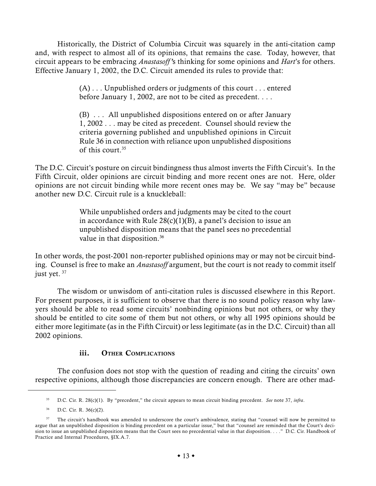Historically, the District of Columbia Circuit was squarely in the anti-citation camp and, with respect to almost all of its opinions, that remains the case. Today, however, that circuit appears to be embracing *Anastasoff '*s thinking for some opinions and *Hart*'s for others. Effective January 1, 2002, the D.C. Circuit amended its rules to provide that:

> (A) . . . Unpublished orders or judgments of this court . . . entered before January 1, 2002, are not to be cited as precedent. . . .

> (B) . . . All unpublished dispositions entered on or after January 1, 2002 . . . may be cited as precedent. Counsel should review the criteria governing published and unpublished opinions in Circuit Rule 36 in connection with reliance upon unpublished dispositions of this court.35

The D.C. Circuit's posture on circuit bindingness thus almost inverts the Fifth Circuit's. In the Fifth Circuit, older opinions are circuit binding and more recent ones are not. Here, older opinions are not circuit binding while more recent ones may be. We say "may be" because another new D.C. Circuit rule is a knuckleball:

> While unpublished orders and judgments may be cited to the court in accordance with Rule  $28(c)(1)(B)$ , a panel's decision to issue an unpublished disposition means that the panel sees no precedential value in that disposition.<sup>36</sup>

In other words, the post-2001 non-reporter published opinions may or may not be circuit binding. Counsel is free to make an *Anastasoff* argument, but the court is not ready to commit itself just yet.<sup>37</sup>

The wisdom or unwisdom of anti-citation rules is discussed elsewhere in this Report. For present purposes, it is sufficient to observe that there is no sound policy reason why lawyers should be able to read some circuits' nonbinding opinions but not others, or why they should be entitled to cite some of them but not others, or why all 1995 opinions should be either more legitimate (as in the Fifth Circuit) or less legitimate (as in the D.C. Circuit) than all 2002 opinions.

## iii. OTHER COMPLICATIONS

The confusion does not stop with the question of reading and citing the circuits' own respective opinions, although those discrepancies are concern enough. There are other mad-

<sup>35</sup> D.C. Cir. R. 28(c)(1). By "precedent," the circuit appears to mean circuit binding precedent. *See* note 37, *infra*.

 $36$  D.C. Cir. R.  $36(c)(2)$ .

<sup>&</sup>lt;sup>37</sup> The circuit's handbook was amended to underscore the court's ambivalence, stating that "counsel will now be permitted to argue that an unpublished disposition is binding precedent on a particular issue," but that "counsel are reminded that the Court's decision to issue an unpublished disposition means that the Court sees no precedential value in that disposition. . . ." D.C. Cir. Handbook of Practice and Internal Procedures, §IX.A.7.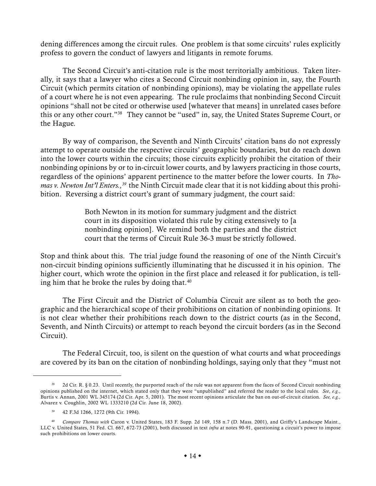dening differences among the circuit rules. One problem is that some circuits' rules explicitly profess to govern the conduct of lawyers and litigants in remote forums.

The Second Circuit's anti-citation rule is the most territorially ambitious. Taken literally, it says that a lawyer who cites a Second Circuit nonbinding opinion in, say, the Fourth Circuit (which permits citation of nonbinding opinions), may be violating the appellate rules of a court where he is not even appearing. The rule proclaims that nonbinding Second Circuit opinions "shall not be cited or otherwise used [whatever that means] in unrelated cases before this or any other court."38 They cannot be "used" in, say, the United States Supreme Court, or the Hague.

By way of comparison, the Seventh and Ninth Circuits' citation bans do not expressly attempt to operate outside the respective circuits' geographic boundaries, but do reach down into the lower courts within the circuits; those circuits explicitly prohibit the citation of their nonbinding opinions by or to in-circuit lower courts, and by lawyers practicing in those courts, regardless of the opinions' apparent pertinence to the matter before the lower courts. In *Thomas v. Newton Int'l Enters.*,<sup>39</sup> the Ninth Circuit made clear that it is not kidding about this prohibition. Reversing a district court's grant of summary judgment, the court said:

> Both Newton in its motion for summary judgment and the district court in its disposition violated this rule by citing extensively to [a nonbinding opinion]. We remind both the parties and the district court that the terms of Circuit Rule 36-3 must be strictly followed.

Stop and think about this. The trial judge found the reasoning of one of the Ninth Circuit's non-circuit binding opinions sufficiently illuminating that he discussed it in his opinion. The higher court, which wrote the opinion in the first place and released it for publication, is telling him that he broke the rules by doing that.<sup>40</sup>

The First Circuit and the District of Columbia Circuit are silent as to both the geographic and the hierarchical scope of their prohibitions on citation of nonbinding opinions. It is not clear whether their prohibitions reach down to the district courts (as in the Second, Seventh, and Ninth Circuits) or attempt to reach beyond the circuit borders (as in the Second Circuit).

The Federal Circuit, too, is silent on the question of what courts and what proceedings are covered by its ban on the citation of nonbinding holdings, saying only that they "must not

<sup>38</sup> 2d Cir. R. § 0.23. Until recently, the purported reach of the rule was not apparent from the faces of Second Circuit nonbinding opinions published on the internet, which stated only that they were "unpublished" and referred the reader to the local rules. *See*, *e.g.*, Burtis v. Annan, 2001 WL 345174 (2d Cir. Apr. 5, 2001). The most recent opinions articulate the ban on out-of-circuit citation. *See, e.g.,* Alvarez v. Coughlin, 2002 WL 1333210 (2d Cir. June 18, 2002).

<sup>39</sup> 42 F.3d 1266, 1272 (9th Cir. 1994).

<sup>40</sup> *Compare Thomas with* Caron v. United States, 183 F. Supp. 2d 149, 158 n.7 (D. Mass. 2001), and Griffy's Landscape Maint., LLC v. United States, 51 Fed. Cl. 667, 672-73 (2001), both discussed in text *infra* at notes 90-91, questioning a circuit's power to impose such prohibitions on lower courts.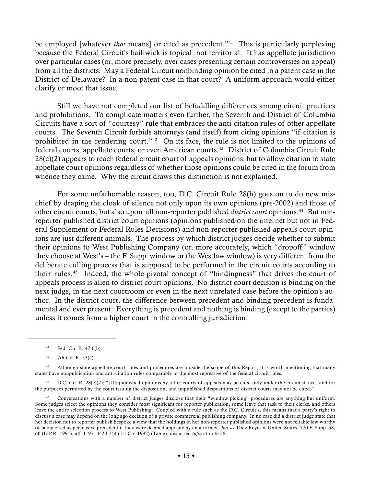be employed [whatever *that* means] or cited as precedent."<sup>41</sup> This is particularly perplexing because the Federal Circuit's bailiwick is topical, not territorial. It has appellate jurisdiction over particular cases (or, more precisely, over cases presenting certain controversies on appeal) from all the districts. May a Federal Circuit nonbinding opinion be cited in a patent case in the District of Delaware? In a non-patent case in that court? A uniform approach would either clarify or moot that issue.

Still we have not completed our list of befuddling differences among circuit practices and prohibitions. To complicate matters even further, the Seventh and District of Columbia Circuits have a sort of "courtesy" rule that embraces the anti-citation rules of other appellate courts. The Seventh Circuit forbids attorneys (and itself) from citing opinions "if citation is prohibited in the rendering court."<sup>42</sup> On its face, the rule is not limited to the opinions of federal courts, appellate courts, or even American courts.<sup>43</sup> District of Columbia Circuit Rule  $28(c)(2)$  appears to reach federal circuit court of appeals opinions, but to allow citation to state appellate court opinions regardless of whether those opinions could be cited in the forum from whence they came. Why the circuit draws this distinction is not explained.

For some unfathomable reason, too, D.C. Circuit Rule 28(h) goes on to do new mischief by draping the cloak of silence not only upon its own opinions (pre-2002) and those of other circuit courts, but also upon all non-reporter published *district court* opinions.44 But nonreporter published district court opinions (opinions published on the internet but not in Federal Supplement or Federal Rules Decisions) and non-reporter published appeals court opinions are just different animals. The process by which district judges decide whether to submit their opinions to West Publishing Company (or, more accurately, which "dropoff " window they choose at West's – the F. Supp. window or the Westlaw window) is very different from the deliberate culling process that is supposed to be performed in the circuit courts according to their rules.45 Indeed, the whole pivotal concept of "bindingness" that drives the court of appeals process is alien to district court opinions. No district court decision is binding on the next judge, in the next courtroom or even in the next unrelated case before the opinion's author. In the district court, the difference between precedent and binding precedent is fundamental and ever present: Everything is precedent and nothing is binding (except to the parties) unless it comes from a higher court in the controlling jurisdiction.

<sup>41</sup> Fed. Cir. R. 47.6(b).

<sup>42</sup> 7th Cir. R. 53(e).

<sup>43</sup> Although state appellate court rules and procedures are outside the scope of this Report, it is worth mentioning that many states have nonpublication and anti-citation rules comparable to the most repressive of the federal circuit rules.

D.C. Cir. R. 28(c)(2): "[U]npublished opinions by other courts of appeals may be cited only under the circumstances and for the purposes permitted by the court issuing the disposition, and unpublished dispositions of district courts may not be cited."

<sup>45</sup> Conversations with a number of district judges disclose that their "window picking" procedures are anything but uniform. Some judges select the opinions they consider most significant for reporter publication, some leave that task to their clerks, and others leave the entire selection process to West Publishing. Coupled with a rule such as the D.C. Circuit's, this means that a party's right to discuss a case may depend on the long ago decision of a private commercial publishing company. In no case did a district judge state that her decision not to reporter publish bespoke a view that the holdings in her non-reporter published opinions were not reliable law worthy of being cited as persuasive precedent if they were deemed apposite by an attorney. *But see* Diaz Reyes v. United States, 770 F. Supp. 58, 60 (D.P.R. 1991), aff'd, 971 F.2d 744 (1st Cir. 1992) (Table), discussed *infra* at note 58.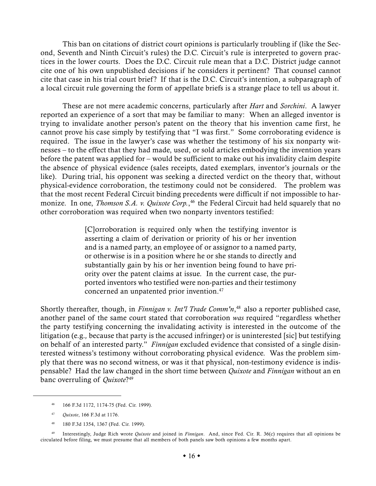This ban on citations of district court opinions is particularly troubling if (like the Second, Seventh and Ninth Circuit's rules) the D.C. Circuit's rule is interpreted to govern practices in the lower courts. Does the D.C. Circuit rule mean that a D.C. District judge cannot cite one of his own unpublished decisions if he considers it pertinent? That counsel cannot cite that case in his trial court brief? If that is the D.C. Circuit's intention, a subparagraph of a local circuit rule governing the form of appellate briefs is a strange place to tell us about it.

These are not mere academic concerns, particularly after *Hart* and *Sorchini*. A lawyer reported an experience of a sort that may be familiar to many: When an alleged inventor is trying to invalidate another person's patent on the theory that his invention came first, he cannot prove his case simply by testifying that "I was first." Some corroborating evidence is required. The issue in the lawyer's case was whether the testimony of his six nonparty witnesses – to the effect that they had made, used, or sold articles embodying the invention years before the patent was applied for – would be sufficient to make out his invalidity claim despite the absence of physical evidence (sales receipts, dated exemplars, inventor's journals or the like). During trial, his opponent was seeking a directed verdict on the theory that, without physical-evidence corroboration, the testimony could not be considered. The problem was that the most recent Federal Circuit binding precedents were difficult if not impossible to harmonize. In one, *Thomson S.A. v. Quixote Corp.*, 46 the Federal Circuit had held squarely that no other corroboration was required when two nonparty inventors testified:

> [C]orroboration is required only when the testifying inventor is asserting a claim of derivation or priority of his or her invention and is a named party, an employee of or assignor to a named party, or otherwise is in a position where he or she stands to directly and substantially gain by his or her invention being found to have priority over the patent claims at issue. In the current case, the purported inventors who testified were non-parties and their testimony concerned an unpatented prior invention.<sup>47</sup>

Shortly thereafter, though, in *Finnigan v. Int'l Trade Comm'n*, 48 also a reporter published case, another panel of the same court stated that corroboration *was* required "regardless whether the party testifying concerning the invalidating activity is interested in the outcome of the litigation (e.g.*,* because that party is the accused infringer) or is uninterested [sic] but testifying on behalf of an interested party." *Finnigan* excluded evidence that consisted of a single disinterested witness's testimony without corroborating physical evidence. Was the problem simply that there was no second witness, or was it that physical, non-testimony evidence is indispensable? Had the law changed in the short time between *Quixote* and *Finnigan* without an en banc overruling of *Quixote*?49

- <sup>47</sup> *Quixote*, 166 F.3d at 1176.
- <sup>48</sup> 180 F.3d 1354, 1367 (Fed. Cir. 1999).

<sup>46</sup> 166 F.3d 1172, 1174-75 (Fed. Cir. 1999).

<sup>49</sup> Interestingly, Judge Rich wrote *Quixote* and joined in *Finnigan*. And, since Fed. Cir. R. 36(c) requires that all opinions be circulated before filing, we must presume that all members of both panels saw both opinions a few months apart.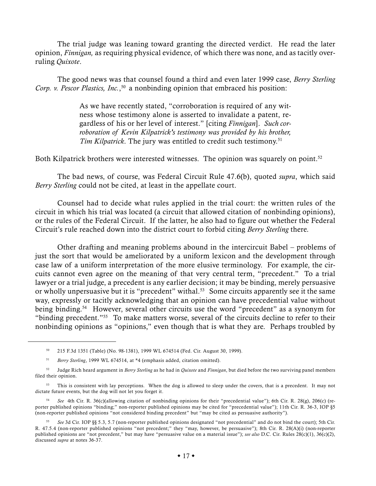The trial judge was leaning toward granting the directed verdict. He read the later opinion, *Finnigan,* as requiring physical evidence, of which there was none, and as tacitly overruling *Quixote*.

The good news was that counsel found a third and even later 1999 case, *Berry Sterling Corp. v. Pescor Plastics, Inc.*, 50 a nonbinding opinion that embraced his position:

> As we have recently stated, "corroboration is required of any witness whose testimony alone is asserted to invalidate a patent, regardless of his or her level of interest." [citing *Finnigan*]. *Such corroboration of Kevin Kilpatrick's testimony was provided by his brother,* Tim Kilpatrick. The jury was entitled to credit such testimony.<sup>51</sup>

Both Kilpatrick brothers were interested witnesses. The opinion was squarely on point.<sup>52</sup>

The bad news, of course, was Federal Circuit Rule 47.6(b), quoted *supra*, which said *Berry Sterling* could not be cited, at least in the appellate court.

Counsel had to decide what rules applied in the trial court: the written rules of the circuit in which his trial was located (a circuit that allowed citation of nonbinding opinions), or the rules of the Federal Circuit. If the latter, he also had to figure out whether the Federal Circuit's rule reached down into the district court to forbid citing *Berry Sterling* there.

Other drafting and meaning problems abound in the intercircuit Babel – problems of just the sort that would be ameliorated by a uniform lexicon and the development through case law of a uniform interpretation of the more elusive terminology. For example, the circuits cannot even agree on the meaning of that very central term, "precedent." To a trial lawyer or a trial judge, a precedent is any earlier decision; it may be binding, merely persuasive or wholly unpersuasive but it is "precedent" withal.<sup>53</sup> Some circuits apparently see it the same way, expressly or tacitly acknowledging that an opinion can have precedential value without being binding.54 However, several other circuits use the word "precedent" as a synonym for "binding precedent."55 To make matters worse, several of the circuits decline to refer to their nonbinding opinions as "opinions," even though that is what they are. Perhaps troubled by

<sup>50</sup> 215 F.3d 1351 (Table) (No. 98-1381), 1999 WL 674514 (Fed. Cir. August 30, 1999).

<sup>51</sup> *Berry Sterling*, 1999 WL 674514, at \*4 (emphasis added, citation omitted).

<sup>52</sup> Judge Rich heard argument in *Berry Sterling* as he had in *Quixote* and *Finnigan*, but died before the two surviving panel members filed their opinion.

<sup>&</sup>lt;sup>53</sup> This is consistent with lay perceptions. When the dog is allowed to sleep under the covers, that is a precedent. It may not dictate future events, but the dog will not let you forget it.

<sup>54</sup> *See* 4th Cir. R. 36(c)(allowing citation of nonbinding opinions for their "precedential value"); 6th Cir. R. 28(g), 206(c) (reporter published opinions "binding;" non-reporter published opinions may be cited for "precedential value"); 11th Cir. R. 36-3, IOP §5 (non-reporter published opinions "not considered binding precedent" but "may be cited as persuasive authority").

<sup>55</sup> *See* 3d Cir. IOP §§ 5.3, 5.7 (non-reporter published opinions designated "not precedential" and do not bind the court); 5th Cir. R. 47.5.4 (non-reporter published opinions "not precedent;" they "may, however, be persuasive"); 8th Cir. R. 28(A)(i) (non-reporter published opinions are "not precedent," but may have "persuasive value on a material issue"); *see also* D.C. Cir. Rules 28(c)(1), 36(c)(2), discussed *supra* at notes 36-37.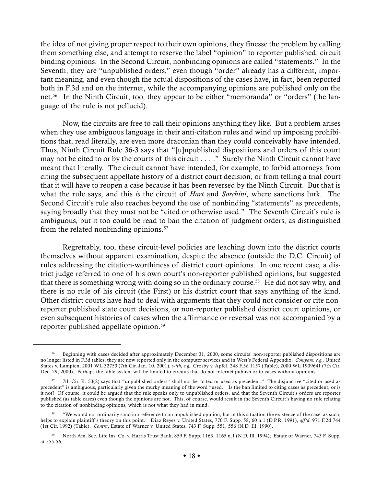the idea of not giving proper respect to their own opinions, they finesse the problem by calling them something else, and attempt to reserve the label "opinion" to reporter published, circuit binding opinions. In the Second Circuit, nonbinding opinions are called "statements." In the Seventh, they are "unpublished orders," even though "order" already has a different, important meaning, and even though the actual dispositions of the cases have, in fact, been reported both in F.3d and on the internet, while the accompanying opinions are published only on the net.56 In the Ninth Circuit, too, they appear to be either "memoranda" or "orders" (the language of the rule is not pellucid).

Now, the circuits are free to call their opinions anything they like. But a problem arises when they use ambiguous language in their anti-citation rules and wind up imposing prohibitions that, read literally, are even more draconian than they could conceivably have intended. Thus, Ninth Circuit Rule 36-3 says that "[u]npublished dispositions and orders of this court may not be cited to or by the courts of this circuit . . . ." Surely the Ninth Circuit cannot have meant that literally. The circuit cannot have intended, for example, to forbid attorneys from citing the subsequent appellate history of a district court decision, or from telling a trial court that it will have to reopen a case because it has been reversed by the Ninth Circuit. But that is what the rule says, and this *is* the circuit of *Hart* and *Sorchini*, where sanctions lurk. The Second Circuit's rule also reaches beyond the use of nonbinding "statements" as precedents, saying broadly that they must not be "cited or otherwise used." The Seventh Circuit's rule is ambiguous, but it too could be read to ban the citation of judgment orders, as distinguished from the related nonbinding opinions.<sup>57</sup>

Regrettably, too, these circuit-level policies are leaching down into the district courts themselves without apparent examination, despite the absence (outside the D.C. Circuit) of rules addressing the citation-worthiness of district court opinions. In one recent case, a district judge referred to one of his own court's non-reporter published opinions, but suggested that there is something wrong with doing so in the ordinary course.<sup>58</sup> He did not say why, and there is no rule of his circuit (the First) or his district court that says anything of the kind. Other district courts have had to deal with arguments that they could not consider or cite nonreporter published state court decisions, or non-reporter published district court opinions, or even subsequent histories of cases when the affirmance or reversal was not accompanied by a reporter published appellate opinion.59

<sup>56</sup> Beginning with cases decided after approximately December 31, 2000, some circuits' non-reporter published dispositions are no longer listed in F.3d tables; they are now reported only in the computer services and in West's Federal Appendix. *Compare, e.g.,* United States v. Lampien, 2001 WL 32753 (7th Cir. Jan. 10, 2001), *with, e.g.,* Crosby v. Apfel, 248 F.3d 1157 (Table), 2000 WL 1909641 (7th Cir. Dec. 29, 2000). Perhaps the table system will be limited to circuits that do not internet publish or to cases without opinions.

<sup>57</sup> 7th Cir. R. 53(2) says that "unpublished orders" shall not be "cited or used as precedent." The disjunctive "cited or used as precedent" is ambiguous, particularly given the murky meaning of the word "used." Is the ban limited to citing cases as precedent, or is it not? Of course, it could be argued that the rule speaks only to unpublished orders, and that the Seventh Circuit's orders are reporter published (as table cases) even though the opinions are not. This, of course, would result in the Seventh Circuit's having no rule relating to the citation of nonbinding opinions, which is not what they had in mind.

<sup>58</sup> "We would not ordinarily sanction reference to an unpublished opinion, but in this situation the existence of the case, as such, helps to explain plaintiff 's theory on this point." Diaz Reyes v. United States, 770 F. Supp. 58, 60 n.1 (D.P.R. 1991), *aff 'd*, 971 F.2d 744 (1st Cir. 1992) (Table). *Contra*, Estate of Warner v. United States, 743 F. Supp. 551, 556 (N.D. Ill. 1990).

<sup>59</sup> North Am. Sec. Life Ins. Co. v. Harris Trust Bank, 859 F. Supp. 1163, 1165 n.1 (N.D. Ill. 1994); Estate of Warner, 743 F. Supp. at 555-56.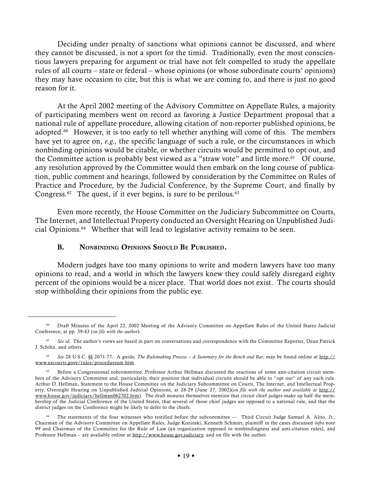Deciding under penalty of sanctions what opinions cannot be discussed, and where they cannot be discussed, is not a sport for the timid. Traditionally, even the most conscientious lawyers preparing for argument or trial have not felt compelled to study the appellate rules of all courts – state or federal – whose opinions (or whose subordinate courts' opinions) they may have occasion to cite, but this is what we are coming to, and there is just no good reason for it.

At the April 2002 meeting of the Advisory Committee on Appellate Rules, a majority of participating members went on record as favoring a Justice Department proposal that a national rule of appellate procedure, allowing citation of non-reporter published opinions, be adopted.<sup>60</sup> However, it is too early to tell whether anything will come of this. The members have yet to agree on, *e.g.,* the specific language of such a rule, or the circumstances in which nonbinding opinions would be citable, or whether circuits would be permitted to opt out, and the Committee action is probably best viewed as a "straw vote" and little more.<sup>61</sup> Of course, any resolution approved by the Committee would then embark on the long course of publication, public comment and hearings, followed by consideration by the Committee on Rules of Practice and Procedure, by the Judicial Conference, by the Supreme Court, and finally by Congress. $62$  The quest, if it ever begins, is sure to be perilous. $63$ 

Even more recently, the House Committee on the Judiciary Subcommittee on Courts, The Internet, and Intellectual Property conducted an Oversight Hearing on Unpublished Judicial Opinions.64 Whether that will lead to legislative activity remains to be seen.

#### B. NONBINDING OPINIONS SHOULD BE PUBLISHED.

Modern judges have too many opinions to write and modern lawyers have too many opinions to read, and a world in which the lawyers knew they could safely disregard eighty percent of the opinions would be a nicer place. That world does not exist. The courts should stop withholding their opinions from the public eye.

<sup>&</sup>lt;sup>60</sup> Draft Minutes of the April 22, 2002 Meeting of the Advisory Committee on Appellate Rules of the United States Judicial Conference, at pp. 39-43 (*on file with the author*).

<sup>&</sup>lt;sup>61</sup> See id. The author's views are based in part on conversations and correspondence with the Committee Reporter, Dean Patrick J. Schiltz, and others.

<sup>62</sup> *See* 28 U.S.C. §§ 2071-77. A guide, *The Rulemaking Process – A Summary for the Bench and Bar*, may be found online at http:// www.uscourts.gove/rules/procedursum.htm.

<sup>&</sup>lt;sup>63</sup> Before a Congressional subcommittee, Professor Arthur Hellman discussed the reactions of some anti-citation circuit members of the Advisory Committee and, particularly, their position that individual circuits should be able to "opt out" of any such rule. Arthur D. Hellman, Statement to the House Committee on the Judiciary Subcommittee on Courts, The Internet, and Intellectual Property, Oversight Hearing on Unpublished Judicial Opinions, at 28-29 (June 27, 2002)(*on file with the author and available at* http:// www.house.gov/judiciary/hellman062702.htm). The draft minutes themselves mention that circuit chief judges make up half the membership of the Judicial Conference of the United States, that several of those chief judges are opposed to a national rule, and that the district judges on the Conference might be likely to defer to the chiefs.

<sup>64</sup> The statements of the four witnesses who testified before the subcommittee — Third Circuit Judge Samuel A. Alito, Jr., Chairman of the Advisory Committee on Appellate Rules, Judge Kozinski, Kenneth Schmier, plaintiff in the cases discussed *infra* note 99 and Chairman of the Committee for the Rule of Law (an organization opposed to nonbindingness and anti-citation rules), and Professor Hellman – are available online at http://www.house.gov.judiciary, and on file with the author.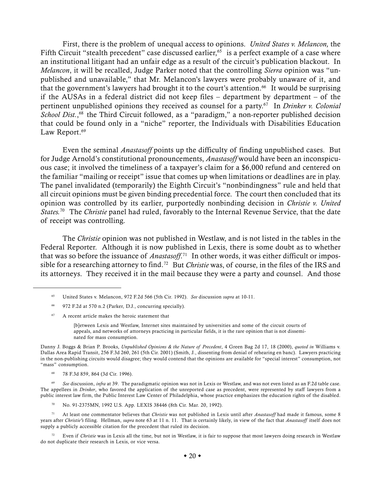First, there is the problem of unequal access to opinions. *United States v. Melancon,* the Fifth Circuit "stealth precedent" case discussed earlier,  $65$  is a perfect example of a case where an institutional litigant had an unfair edge as a result of the circuit's publication blackout. In *Melancon*, it will be recalled, Judge Parker noted that the controlling *Sierra* opinion was "unpublished and unavailable," that Mr. Melancon's lawyers were probably unaware of it, and that the government's lawyers had brought it to the court's attention.<sup>66</sup> It would be surprising if the AUSAs in a federal district did not keep files  $-$  department by department  $-$  of the pertinent unpublished opinions they received as counsel for a party.67 In *Drinker v. Colonial* School Dist.,<sup>68</sup> the Third Circuit followed, as a "paradigm," a non-reporter published decision that could be found only in a "niche" reporter, the Individuals with Disabilities Education Law Report.<sup>69</sup>

Even the seminal *Anastasoff* points up the difficulty of finding unpublished cases. But for Judge Arnold's constitutional pronouncements, *Anastasoff* would have been an inconspicuous case; it involved the timeliness of a taxpayer's claim for a \$6,000 refund and centered on the familiar "mailing or receipt" issue that comes up when limitations or deadlines are in play. The panel invalidated (temporarily) the Eighth Circuit's "nonbindingness" rule and held that all circuit opinions must be given binding precedential force. The court then concluded that its opinion was controlled by its earlier, purportedly nonbinding decision in *Christie v. United States.*70 The *Christie* panel had ruled, favorably to the Internal Revenue Service, that the date of receipt was controlling.

The *Christie* opinion was not published in Westlaw, and is not listed in the tables in the Federal Reporter. Although it is now published in Lexis, there is some doubt as to whether that was so before the issuance of *Anastasoff*. 71In other words, it was either difficult or impossible for a researching attorney to find.72 But *Christie* was, of course, in the files of the IRS and its attorneys. They received it in the mail because they were a party and counsel. And those

- <sup>66</sup> 972 F.2d at 570 n.2 (Parker, D.J., concurring specially).
- <sup>67</sup> A recent article makes the heroic statement that

[b]etween Lexis and Westlaw, Internet sites maintained by universities and some of the circuit courts of appeals, and networks of attorneys practicing in particular fields, it is the rare opinion that is not disseminated for mass consumption.

Danny J. Boggs & Brian P. Brooks, *Unpublished Opinions & the Nature of Precedent*, 4 Green Bag 2d 17, 18 (2000), *quoted in* Williams v. Dallas Area Rapid Transit, 256 F.3d 260, 261 (5th Cir. 2001) (Smith, J., dissenting from denial of rehearing en banc). Lawyers practicing in the non-publishing circuits would disagree; they would contend that the opinions are available for "special interest" consumption, not "mass" consumption.

<sup>68</sup> 78 F.3d 859, 864 (3d Cir. 1996).

<sup>69</sup> See discussion, *infra* at 39. The paradigmatic opinion was not in Lexis or Westlaw, and was not even listed as an F.2d table case. The appellees in *Drinker*, who favored the application of the unreported case as precedent, were represented by staff lawyers from a public interest law firm, the Public Interest Law Center of Philadelphia, whose practice emphasizes the education rights of the disabled.

<sup>70</sup> No. 91-2375MN, 1992 U.S. App. LEXIS 38446 (8th Cir. Mar. 20, 1992).

<sup>71</sup> At least one commentator believes that *Christie* was not published in Lexis until after *Anastasoff* had made it famous, some 8 years after *Christie's* filing. Hellman, *supra* note 63 at 11 n. 11. That is certainly likely, in view of the fact that *Anastasoff* itself does not supply a publicly accessible citation for the precedent that ruled its decision.

<sup>72</sup> Even if *Christie* was in Lexis all the time, but not in Westlaw, it is fair to suppose that most lawyers doing research in Westlaw do not duplicate their research in Lexis, or vice versa.

<sup>65</sup> United States v. Melancon, 972 F.2d 566 (5th Cir. 1992). *See* discussion *supra* at 10-11.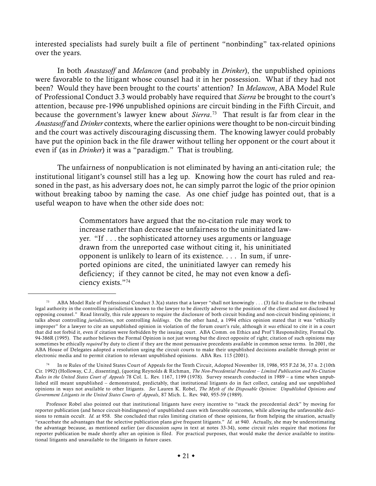interested specialists had surely built a file of pertinent "nonbinding" tax-related opinions over the years.

In both *Anastasoff* and *Melancon* (and probably in *Drinker*), the unpublished opinions were favorable to the litigant whose counsel had it in her possession. What if they had not been? Would they have been brought to the courts' attention? In *Melancon*, ABA Model Rule of Professional Conduct 3.3 would probably have required that *Sierra* be brought to the court's attention, because pre-1996 unpublished opinions are circuit binding in the Fifth Circuit, and because the government's lawyer knew about *Sierra*. 73 That result is far from clear in the *Anastasoff* and *Drinker* contexts, where the earlier opinions were thought to be non-circuit binding and the court was actively discouraging discussing them. The knowing lawyer could probably have put the opinion back in the file drawer without telling her opponent or the court about it even if (as in *Drinker*) it was a "paradigm." That is troubling.

The unfairness of nonpublication is not eliminated by having an anti-citation rule; the institutional litigant's counsel still has a leg up. Knowing how the court has ruled and reasoned in the past, as his adversary does not, he can simply parrot the logic of the prior opinion without breaking taboo by naming the case. As one chief judge has pointed out, that is a useful weapon to have when the other side does not:

> Commentators have argued that the no-citation rule may work to increase rather than decrease the unfairness to the uninitiated lawyer. "If . . . the sophisticated attorney uses arguments or language drawn from the unreported case without citing it, his uninitiated opponent is unlikely to learn of its existence. . . . In sum, if unreported opinions are cited, the uninitiated lawyer can remedy his deficiency; if they cannot be cited, he may not even know a deficiency exists."74

<sup>73</sup> ABA Model Rule of Professional Conduct 3.3(a) states that a lawyer "shall not knowingly . . . (3) fail to disclose to the tribunal legal authority in the controlling jurisdiction known to the lawyer to be directly adverse to the position of the client and not disclosed by opposing counsel." Read literally, this rule appears to require the disclosure of both circuit binding and non-circuit binding opinions; it talks about controlling *jurisdictions*, not controlling *holdings*. On the other hand, a 1994 ethics opinion stated that it was "ethically improper" for a lawyer to cite an unpublished opinion in violation of the forum court's rule, although it *was* ethical to cite it in a court that did not forbid it, even if citation were forbidden by the issuing court. ABA Comm. on Ethics and Prof 'l Responsibility, Formal Op. 94-386R (1995). The author believes the Formal Opinion is not just wrong but the direct opposite of right; citation of such opinions may sometimes be ethically *required* by duty to client if they are the most persuasive precedents available in common sense terms. In 2001, the ABA House of Delegates adopted a resolution urging the circuit courts to make their unpublished decisions available through print or electronic media and to permit citation to relevant unpublished opinions. ABA Res. 115 (2001).

In re Rules of the United States Court of Appeals for the Tenth Circuit, Adopted November 18, 1986, 955 F.2d 36, 37 n. 2 (10th Cir. 1992) (Holloway, C.J., dissenting), (quoting Reynolds & Richman, *The Non-Precedential Precedent* – *Limited Publication and No-Citation Rules in the United States Court of Appeals* 78 Col. L. Rev. 1167, 1199 (1978). Survey research conducted in 1989 – a time when unpublished still meant unpublished – demonstrated, predictably, that institutional litigants do in fact collect, catalog and use unpublished opinions in ways not available to other litigants. *See* Lauren K. Robel, *The Myth of the Disposable Opinion: Unpublished Opinions and Government Litigants in the United States Courts of Appeals*, 87 Mich. L. Rev. 940, 955-59 (1989).

Professor Robel also pointed out that institutional litigants have every incentive to "stack the precedential deck" by moving for reporter publication (and hence circuit-bindingness) of unpublished cases with favorable outcomes, while allowing the unfavorable decisions to remain occult. *Id.* at 958. She concluded that rules limiting citation of these opinions, far from helping the situation, actually "exacerbate the advantages that the selective publication plans give frequent litigants." *Id.* at 940. Actually, she may be underestimating the advantage because, as mentioned earlier (*see* discussion *supra* in text at notes 33-34), some circuit rules require that motions for reporter publication be made shortly after an opinion is filed. For practical purposes, that would make the device available to institutional litigants and unavailable to the litigants in future cases.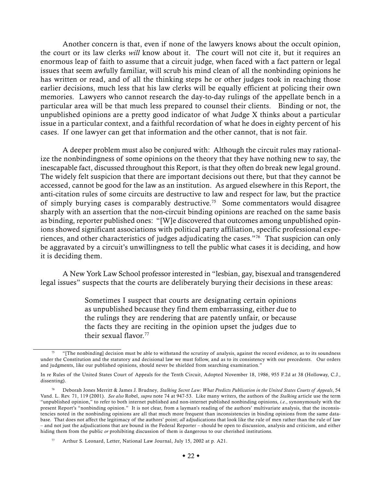Another concern is that, even if none of the lawyers knows about the occult opinion, the court or its law clerks *will* know about it. The court will not cite it, but it requires an enormous leap of faith to assume that a circuit judge, when faced with a fact pattern or legal issues that seem awfully familiar, will scrub his mind clean of all the nonbinding opinions he has written or read, and of all the thinking steps he or other judges took in reaching those earlier decisions, much less that his law clerks will be equally efficient at policing their own memories. Lawyers who cannot research the day-to-day rulings of the appellate bench in a particular area will be that much less prepared to counsel their clients. Binding or not, the unpublished opinions are a pretty good indicator of what Judge X thinks about a particular issue in a particular context, and a faithful recordation of what he does in eighty percent of his cases. If one lawyer can get that information and the other cannot, that is not fair.

A deeper problem must also be conjured with: Although the circuit rules may rationalize the nonbindingness of some opinions on the theory that they have nothing new to say, the inescapable fact, discussed throughout this Report, is that they often do break new legal ground. The widely felt suspicion that there are important decisions out there, but that they cannot be accessed, cannot be good for the law as an institution. As argued elsewhere in this Report, the anti-citation rules of some circuits are destructive to law and respect for law, but the practice of simply burying cases is comparably destructive.75 Some commentators would disagree sharply with an assertion that the non-circuit binding opinions are reached on the same basis as binding, reporter published ones: "[W]e discovered that outcomes among unpublished opinions showed significant associations with political party affiliation, specific professional experiences, and other characteristics of judges adjudicating the cases."76 That suspicion can only be aggravated by a circuit's unwillingness to tell the public what cases it is deciding, and how it is deciding them.

A New York Law School professor interested in "lesbian, gay, bisexual and transgendered legal issues" suspects that the courts are deliberately burying their decisions in these areas:

> Sometimes I suspect that courts are designating certain opinions as unpublished because they find them embarrassing, either due to the rulings they are rendering that are patently unfair, or because the facts they are reciting in the opinion upset the judges due to their sexual flavor  $77$

<sup>&</sup>quot;[The nonbinding] decision must be able to withstand the scrutiny of analysis, against the record evidence, as to its soundness under the Constitution and the statutory and decisional law we must follow, and as to its consistency with our precedents. Our orders and judgments, like our published opinions, should never be shielded from searching examination."

In re Rules of the United States Court of Appeals for the Tenth Circuit, Adopted November 18, 1986, 955 F.2d at 38 (Holloway, C.J., dissenting).

<sup>76</sup> Deborah Jones Merritt & James J. Brudney*, Stalking Secret Law: What Predicts Publication in the United States Courts of Appeals*, 54 Vand. L. Rev. 71, 119 (2001). *See also* Robel, *supra* note 74 at 947-53. Like many writers, the authors of the *Stalking* article use the term "unpublished opinion," to refer to both internet published and non-internet published nonbinding opinions, *i.e.*, synonymously with the present Report's "nonbinding opinion." It is not clear, from a layman's reading of the authors' multivariate analysis, that the inconsistencies noted in the nonbinding opinions are all that much more frequent than inconsistencies in binding opinions from the same database. That does not affect the legitimacy of the authors' point; *all* adjudications that look like the rule of men rather than the rule of law – and not just the adjudications that are bound in the Federal Reporter – should be open to discussion, analysis and criticism, and either hiding them from the public *or* prohibiting discussion of them is dangerous to our cherished institutions.

Arthur S. Leonard, Letter, National Law Journal, July 15, 2002 at p. A21.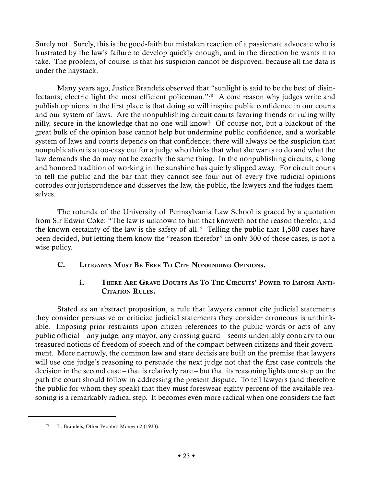Surely not. Surely, this is the good-faith but mistaken reaction of a passionate advocate who is frustrated by the law's failure to develop quickly enough, and in the direction he wants it to take. The problem, of course, is that his suspicion cannot be disproven, because all the data is under the haystack.

Many years ago, Justice Brandeis observed that "sunlight is said to be the best of disinfectants; electric light the most efficient policeman."78 A core reason why judges write and publish opinions in the first place is that doing so will inspire public confidence in our courts and our system of laws. Are the nonpublishing circuit courts favoring friends or ruling willy nilly, secure in the knowledge that no one will know? Of course not, but a blackout of the great bulk of the opinion base cannot help but undermine public confidence, and a workable system of laws and courts depends on that confidence; there will always be the suspicion that nonpublication is a too-easy out for a judge who thinks that what she wants to do and what the law demands she do may not be exactly the same thing. In the nonpublishing circuits, a long and honored tradition of working in the sunshine has quietly slipped away. For circuit courts to tell the public and the bar that they cannot see four out of every five judicial opinions corrodes our jurisprudence and disserves the law, the public, the lawyers and the judges themselves.

The rotunda of the University of Pennsylvania Law School is graced by a quotation from Sir Edwin Coke: "The law is unknown to him that knoweth not the reason therefor, and the known certainty of the law is the safety of all." Telling the public that 1,500 cases have been decided, but letting them know the "reason therefor" in only 300 of those cases, is not a wise policy.

C. LITIGANTS MUST BE FREE TO CITE NONBINDING OPINIONS.

# i. THERE ARE GRAVE DOUBTS AS TO THE CIRCUITS' POWER TO IMPOSE ANTI-CITATION RULES.

Stated as an abstract proposition, a rule that lawyers cannot cite judicial statements they consider persuasive or criticize judicial statements they consider erroneous is unthinkable. Imposing prior restraints upon citizen references to the public words or acts of any public official – any judge, any mayor, any crossing guard – seems undeniably contrary to our treasured notions of freedom of speech and of the compact between citizens and their government. More narrowly, the common law and stare decisis are built on the premise that lawyers will use one judge's reasoning to persuade the next judge not that the first case controls the decision in the second case – that is relatively rare – but that its reasoning lights one step on the path the court should follow in addressing the present dispute. To tell lawyers (and therefore the public for whom they speak) that they must foreswear eighty percent of the available reasoning is a remarkably radical step. It becomes even more radical when one considers the fact

<sup>78</sup> L. Brandeis, Other People's Money 62 (1933).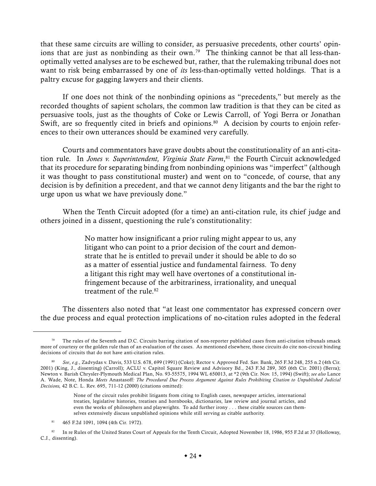that these same circuits are willing to consider, as persuasive precedents, other courts' opinions that are just as nonbinding as their own.<sup>79</sup> The thinking cannot be that all less-thanoptimally vetted analyses are to be eschewed but, rather, that the rulemaking tribunal does not want to risk being embarrassed by one of *its* less-than-optimally vetted holdings. That is a paltry excuse for gagging lawyers and their clients.

If one does not think of the nonbinding opinions as "precedents," but merely as the recorded thoughts of sapient scholars, the common law tradition is that they can be cited as persuasive tools, just as the thoughts of Coke or Lewis Carroll, of Yogi Berra or Jonathan Swift, are so frequently cited in briefs and opinions.<sup>80</sup> A decision by courts to enjoin references to their own utterances should be examined very carefully.

Courts and commentators have grave doubts about the constitutionality of an anti-citation rule. In *Jones v. Superintendent, Virginia State Farm*, 81 the Fourth Circuit acknowledged that its procedure for separating binding from nonbinding opinions was "imperfect" (although it was thought to pass constitutional muster) and went on to "concede, of course, that any decision is by definition a precedent, and that we cannot deny litigants and the bar the right to urge upon us what we have previously done."

When the Tenth Circuit adopted (for a time) an anti-citation rule, its chief judge and others joined in a dissent, questioning the rule's constitutionality:

> No matter how insignificant a prior ruling might appear to us, any litigant who can point to a prior decision of the court and demonstrate that he is entitled to prevail under it should be able to do so as a matter of essential justice and fundamental fairness. To deny a litigant this right may well have overtones of a constitutional infringement because of the arbitrariness, irrationality, and unequal treatment of the rule  $82$

The dissenters also noted that "at least one commentator has expressed concern over the due process and equal protection implications of no-citation rules adopted in the federal

The rules of the Seventh and D.C. Circuits barring citation of non-reporter published cases from anti-citation tribunals smack more of courtesy or the golden rule than of an evaluation of the cases. As mentioned elsewhere, those circuits do cite non-circuit binding decisions of circuits that do not have anti-citation rules.

<sup>80</sup> *See*, *e.g.*, Zadvydas v. Davis, 533 U.S. 678, 699 (1991) (Coke); Rector v. Approved Fed. Sav. Bank, 265 F.3d 248, 255 n.2 (4th Cir. 2001) (King, J., dissenting) (Carroll); ACLU v. Capitol Square Review and Advisory Bd., 243 F.3d 289, 305 (6th Cir. 2001) (Berra); Newton v. Barish Chrysler-Plymouth Medical Plan, No. 93-55575, 1994 WL 650013, at \*2 (9th Cir. Nov. 15, 1994) (Swift); *see also* Lance A. Wade, Note, Honda *Meets* Anastasoff*: The Procedural Due Process Argument Against Rules Prohibiting Citation to Unpublished Judicial Decisions,* 42 B.C. L. Rev. 695, 711-12 (2000) (citations omitted):

None of the circuit rules prohibit litigants from citing to English cases, newspaper articles, international treaties, legislative histories, treatises and hornbooks, dictionaries, law review and journal articles, and even the works of philosophers and playwrights. To add further irony . . . these citable sources can themselves extensively discuss unpublished opinions while still serving as citable authority.

<sup>81</sup> 465 F.2d 1091, 1094 (4th Cir. 1972).

<sup>82</sup> In re Rules of the United States Court of Appeals for the Tenth Circuit, Adopted November 18, 1986, 955 F.2d at 37 (Holloway, C.J., dissenting).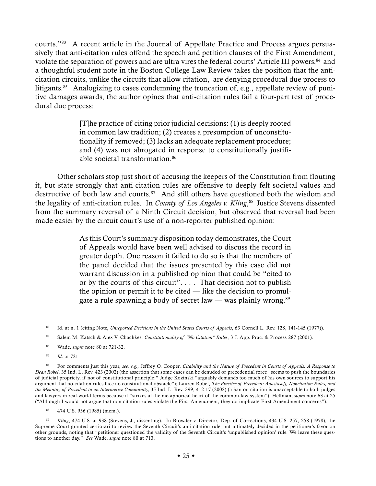courts."83 A recent article in the Journal of Appellate Practice and Process argues persuasively that anti-citation rules offend the speech and petition clauses of the First Amendment, violate the separation of powers and are ultra vires the federal courts' Article III powers,<sup>84</sup> and a thoughtful student note in the Boston College Law Review takes the position that the anticitation circuits, unlike the circuits that allow citation, are denying procedural due process to litigants.<sup>85</sup> Analogizing to cases condemning the truncation of, e.g., appellate review of punitive damages awards, the author opines that anti-citation rules fail a four-part test of procedural due process:

> [T]he practice of citing prior judicial decisions: (1) is deeply rooted in common law tradition; (2) creates a presumption of unconstitutionality if removed; (3) lacks an adequate replacement procedure; and (4) was not abrogated in response to constitutionally justifiable societal transformation.86

Other scholars stop just short of accusing the keepers of the Constitution from flouting it, but state strongly that anti-citation rules are offensive to deeply felt societal values and destructive of both law and courts.<sup>87</sup> And still others have questioned both the wisdom and the legality of anti-citation rules. In *County of Los Angeles v. Kling*, 88 Justice Stevens dissented from the summary reversal of a Ninth Circuit decision, but observed that reversal had been made easier by the circuit court's use of a non-reporter published opinion:

> As this Court's summary disposition today demonstrates, the Court of Appeals would have been well advised to discuss the record in greater depth. One reason it failed to do so is that the members of the panel decided that the issues presented by this case did not warrant discussion in a published opinion that could be "cited to or by the courts of this circuit". . . . That decision not to publish the opinion or permit it to be cited — like the decision to promulgate a rule spawning a body of secret law — was plainly wrong. $89$

<sup>83</sup> Id. at n. 1 (citing Note, *Unreported Decisions in the United States Courts of Appeals*, 63 Cornell L. Rev. 128, 141-145 (1977)).

<sup>84</sup> Salem M. Katsch & Alex V. Chachkes, *Constitutionality of "No Citation" Rules*, 3 J. App. Prac. & Process 287 (2001).

<sup>85</sup> Wade, *supra* note 80 at 721-32.

<sup>86</sup> *Id*. at 721.

<sup>87</sup> For comments just this year, *see, e.g.,* Jeffrey O. Cooper, *Citability and the Nature of Precedent in Courts of Appeals: A Response to Dean Robel*, 35 Ind. L. Rev. 423 (2002) (the assertion that some cases can be denuded of precedential force "seems to push the boundaries of judicial propriety, if not of constitutional principle;" Judge Kozinski "arguably demands too much of his own sources to support his argument that no-citation rules face no constitutional obstacle"); Lauren Robel, *The Practice of Precedent: Anastasoff, Noncitation Rules, and the Meaning of Precedent in an Interpretive Community,* 35 Ind. L. Rev. 399, 412-17 (2002) (a ban on citation is unacceptable to both judges and lawyers in real-world terms because it "strikes at the metaphorical heart of the common-law system"); Hellman, *supra* note 63 at 25 ("Although I would not argue that non-citation rules violate the First Amendment, they do implicate First Amendment concerns").

<sup>88</sup> 474 U.S. 936 (1985) (mem.).

<sup>89</sup> *Kling*, 474 U.S. at 938 (Stevens, J., dissenting). In Browder v. Director, Dep. of Corrections, 434 U.S. 257, 258 (1978), the Supreme Court granted certiorari to review the Seventh Circuit's anti-citation rule, but ultimately decided in the petitioner's favor on other grounds, noting that "petitioner questioned the validity of the Seventh Circuit's 'unpublished opinion' rule. We leave these questions to another day." *See* Wade, *supra* note 80 at 713.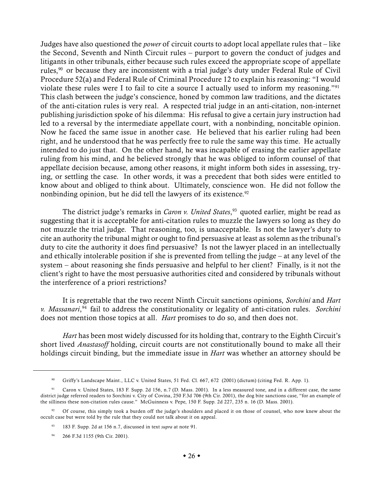Judges have also questioned the *power* of circuit courts to adopt local appellate rules that – like the Second, Seventh and Ninth Circuit rules – purport to govern the conduct of judges and litigants in other tribunals, either because such rules exceed the appropriate scope of appellate rules,<sup>90</sup> or because they are inconsistent with a trial judge's duty under Federal Rule of Civil Procedure 52(a) and Federal Rule of Criminal Procedure 12 to explain his reasoning: "I would violate these rules were I to fail to cite a source I actually used to inform my reasoning."91 This clash between the judge's conscience, honed by common law traditions, and the dictates of the anti-citation rules is very real. A respected trial judge in an anti-citation, non-internet publishing jurisdiction spoke of his dilemma: His refusal to give a certain jury instruction had led to a reversal by the intermediate appellate court, with a nonbinding, noncitable opinion. Now he faced the same issue in another case. He believed that his earlier ruling had been right, and he understood that he was perfectly free to rule the same way this time. He actually intended to do just that. On the other hand, he was incapable of erasing the earlier appellate ruling from his mind, and he believed strongly that he was obliged to inform counsel of that appellate decision because, among other reasons, it might inform both sides in assessing, trying, or settling the case. In other words, it was a precedent that both sides were entitled to know about and obliged to think about. Ultimately, conscience won. He did not follow the nonbinding opinion, but he did tell the lawyers of its existence.<sup>92</sup>

The district judge's remarks in *Caron v. United States*, 93 quoted earlier, might be read as suggesting that it is acceptable for anti-citation rules to muzzle the lawyers so long as they do not muzzle the trial judge. That reasoning, too, is unacceptable. Is not the lawyer's duty to cite an authority the tribunal might or ought to find persuasive at least as solemn as the tribunal's duty to cite the authority it does find persuasive? Is not the lawyer placed in an intellectually and ethically intolerable position if she is prevented from telling the judge – at any level of the system – about reasoning she finds persuasive and helpful to her client? Finally, is it not the client's right to have the most persuasive authorities cited and considered by tribunals without the interference of a priori restrictions?

It is regrettable that the two recent Ninth Circuit sanctions opinions, *Sorchini* and *Hart v. Massanari*, 94 fail to address the constitutionality or legality of anti-citation rules. *Sorchini* does not mention those topics at all. *Hart* promises to do so, and then does not.

*Hart* has been most widely discussed for its holding that, contrary to the Eighth Circuit's short lived *Anastasoff* holding, circuit courts are not constitutionally bound to make all their holdings circuit binding, but the immediate issue in *Hart* was whether an attorney should be

<sup>94</sup> 266 F.3d 1155 (9th Cir. 2001).

<sup>90</sup> Griffy's Landscape Maint., LLC v. United States, 51 Fed. Cl. 667, 672 (2001) (dictum) (citing Fed. R. App. 1).

<sup>91</sup> Caron v. United States, 183 F. Supp. 2d 156, n.7 (D. Mass. 2001). In a less measured tone, and in a different case, the same district judge referred readers to Sorchini v. City of Covina, 250 F.3d 706 (9th Cir. 2001), the dog bite sanctions case, "for an example of the silliness these non-citation rules cause." McGuinness v. Pepe, 150 F. Supp. 2d 227, 235 n. 16 (D. Mass. 2001).

<sup>&</sup>lt;sup>92</sup> Of course, this simply took a burden off the judge's shoulders and placed it on those of counsel, who now knew about the occult case but were told by the rule that they could not talk about it on appeal.

<sup>93</sup> 183 F. Supp. 2d at 156 n.7, discussed in text *supra* at note 91.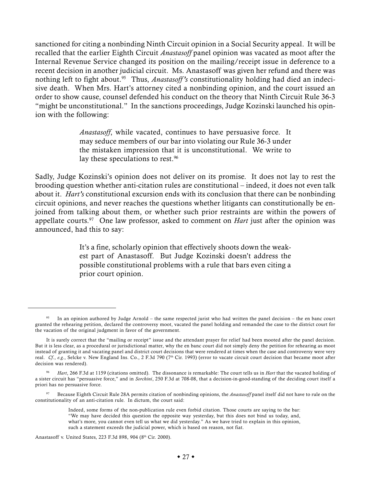sanctioned for citing a nonbinding Ninth Circuit opinion in a Social Security appeal. It will be recalled that the earlier Eighth Circuit *Anastasoff* panel opinion was vacated as moot after the Internal Revenue Service changed its position on the mailing/receipt issue in deference to a recent decision in another judicial circuit. Ms. Anastasoff was given her refund and there was nothing left to fight about.95 Thus, *Anastasoff 's* constitutionality holding had died an indecisive death. When Mrs. Hart's attorney cited a nonbinding opinion, and the court issued an order to show cause, counsel defended his conduct on the theory that Ninth Circuit Rule 36-3 "might be unconstitutional." In the sanctions proceedings, Judge Kozinski launched his opinion with the following:

> *Anastasoff*, while vacated, continues to have persuasive force. It may seduce members of our bar into violating our Rule 36-3 under the mistaken impression that it is unconstitutional. We write to lay these speculations to rest.<sup>96</sup>

Sadly, Judge Kozinski's opinion does not deliver on its promise. It does not lay to rest the brooding question whether anti-citation rules are constitutional – indeed, it does not even talk about it. *Hart's* constitutional excursion ends with its conclusion that there can be nonbinding circuit opinions, and never reaches the questions whether litigants can constitutionally be enjoined from talking about them, or whether such prior restraints are within the powers of appellate courts.<sup>97</sup> One law professor, asked to comment on *Hart* just after the opinion was announced, had this to say:

> It's a fine, scholarly opinion that effectively shoots down the weakest part of Anastasoff. But Judge Kozinski doesn't address the possible constitutional problems with a rule that bars even citing a prior court opinion.

<sup>95</sup> In an opinion authored by Judge Arnold – the same respected jurist who had written the panel decision – the en banc court granted the rehearing petition, declared the controversy moot, vacated the panel holding and remanded the case to the district court for the vacation of the original judgment in favor of the government.

It is surely correct that the "mailing or receipt" issue and the attendant prayer for relief had been mooted after the panel decision. But it is less clear, as a procedural or jurisdictional matter, why the en banc court did not simply deny the petition for rehearing as moot instead of granting it and vacating panel and district court decisions that were rendered at times when the case and controversy were very real. *Cf*., *e.g.*, Selcke v. New England Ins. Co., 2 F.3d 790 (7th Cir. 1993) (error to vacate circuit court decision that became moot after decision was rendered).

<sup>96</sup> *Hart*, 266 F.3d at 1159 (citations omitted). The dissonance is remarkable: The court tells us in *Hart* that the vacated holding of a sister circuit has "persuasive force," and in *Sorchini*, 250 F.3d at 708-08, that a decision-in-good-standing of the deciding court itself a priori has no persuasive force.

<sup>97</sup> Because Eighth Circuit Rule 28A permits citation of nonbinding opinions, the *Anastasoff* panel itself did not have to rule on the constitutionality of an anti-citation rule. In dictum, the court said:

Indeed, some forms of the non-publication rule even forbid citation. Those courts are saying to the bar: "We may have decided this question the opposite way yesterday, but this does not bind us today, and, what's more, you cannot even tell us what we did yesterday." As we have tried to explain in this opinion, such a statement exceeds the judicial power, which is based on reason, not fiat.

Anastasoff v. United States, 223 F.3d 898, 904 (8th Cir. 2000).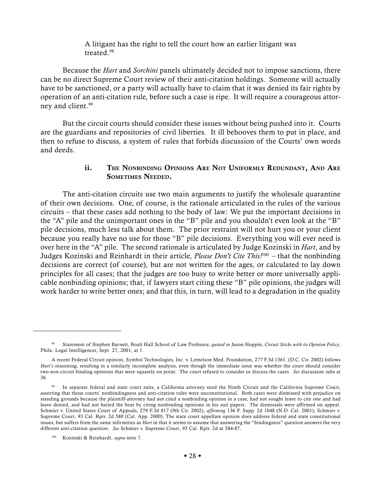A litigant has the right to tell the court how an earlier litigant was treated.98

Because the *Hart* and *Sorchini* panels ultimately decided not to impose sanctions, there can be no direct Supreme Court review of their anti-citation holdings. Someone will actually have to be sanctioned, or a party will actually have to claim that it was denied its fair rights by operation of an anti-citation rule, before such a case is ripe. It will require a courageous attorney and client.<sup>99</sup>

But the circuit courts should consider these issues without being pushed into it. Courts are the guardians and repositories of civil liberties. It ill behooves them to put in place, and then to refuse to discuss, a system of rules that forbids discussion of the Courts' own words and deeds.

## ii. THE NONBINDING OPINIONS ARE NOT UNIFORMLY REDUNDANT, AND ARE SOMETIMES NEEDED.

The anti-citation circuits use two main arguments to justify the wholesale quarantine of their own decisions. One, of course, is the rationale articulated in the rules of the various circuits – that these cases add nothing to the body of law: We put the important decisions in the "A" pile and the unimportant ones in the "B" pile and you shouldn't even look at the "B" pile decisions, much less talk about them. The prior restraint will not hurt you or your client because you really have no use for those "B" pile decisions. Everything you will ever need is over here in the "A" pile. The second rationale is articulated by Judge Kozinski in *Hart*, and by Judges Kozinski and Reinhardt in their article, *Please Don't Cite This!*100 – that the nonbinding decisions are correct (of course), but are not written for the ages, or calculated to lay down principles for all cases; that the judges are too busy to write better or more universally applicable nonbinding opinions; that, if lawyers start citing these "B" pile opinions, the judges will work harder to write better ones; and that this, in turn, will lead to a degradation in the quality

<sup>98</sup> Statement of Stephen Barnett, Boalt Hall School of Law Professor, *quoted in* Jason Hoppin, *Circuit Sticks with its Opinion Policy*, Phila. Legal Intelligencer, Sept. 27, 2001, at 1.

A recent Federal Circuit opinion, Symbol Technologies, Inc. v. Lemelson Med. Foundation, 277 F.3d 1361. (D.C. Cir. 2002) follows *Hart*'*s* reasoning, resulting in a similarly incomplete analysis, even though the immediate issue was whether the court should consider two non-circuit binding opinions that were squarely on point. The court refused to consider or discuss the cases. *See* discussion *infra* at 36.

<sup>99</sup> In separate federal and state court suits, a California attorney sued the Ninth Circuit and the California Supreme Court, asserting that those courts' nonbindingness and anti-citation rules were unconstitutional. Both cases were dismissed with prejudice on standing grounds because the plaintiff-attorney had not cited a nonbinding opinion in a case, had not sought leave to cite one and had leave denied, and had not baited the bear by citing nonbinding opinions in his suit papers. The dismissals were affirmed on appeal. Schmier v. United States Court of Appeals, 279 F.3d 817 (9th Cir. 2002), *affirming* 136 F. Supp. 2d 1048 (N.D. Cal. 2001); Schmier v. Supreme Court, 93 Cal. Rptr. 2d 580 (Cal. App. 2000). The state court appellate opinion does address federal and state constitutional issues, but suffers from the same infirmities as *Hart* in that it seems to assume that answering the "bindingness" question answers the very different anti-citation question. *See* Schmier v. Supreme Court, 93 Cal. Rptr. 2d at 584-87.

<sup>100</sup> Kozinski & Reinhardt, *supra* note 7.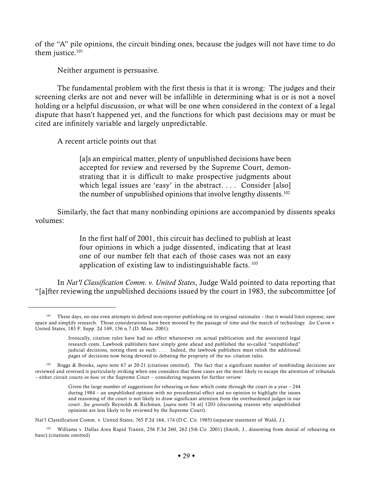of the "A" pile opinions, the circuit binding ones, because the judges will not have time to do them justice.<sup>101</sup>

Neither argument is persuasive.

The fundamental problem with the first thesis is that it is wrong: The judges and their screening clerks are not and never will be infallible in determining what is or is not a novel holding or a helpful discussion, or what will be one when considered in the context of a legal dispute that hasn't happened yet, and the functions for which past decisions may or must be cited are infinitely variable and largely unpredictable.

A recent article points out that

[a]s an empirical matter, plenty of unpublished decisions have been accepted for review and reversed by the Supreme Court, demonstrating that it is difficult to make prospective judgments about which legal issues are 'easy' in the abstract. . . . Consider [also] the number of unpublished opinions that involve lengthy dissents.<sup>102</sup>

Similarly, the fact that many nonbinding opinions are accompanied by dissents speaks volumes:

> In the first half of 2001, this circuit has declined to publish at least four opinions in which a judge dissented, indicating that at least one of our number felt that each of those cases was not an easy application of existing law to indistinguishable facts. 103

In *Nat'l Classification Comm. v. United States*, Judge Wald pointed to data reporting that "[a]fter reviewing the unpublished decisions issued by the court in 1983, the subcommittee [of

Nat'l Classification Comm. v. United States, 765 F.2d 164, 174 (D.C. Cir. 1985) (separate statement of Wald, J.).

<sup>&</sup>lt;sup>101</sup> These days, no one even attempts to defend non-reporter publishing on its original rationales – that it would limit expense, save space and simplify research. Those considerations have been mooted by the passage of time and the march of technology. *See* Caron v. United States, 183 F. Supp. 2d 149, 156 n.7 (D. Mass. 2001):

Ironically, citation rules have had no effect whatsoever on actual publication and the associated legal research costs. Lawbook publishers have simply gone ahead and published the so-called "unpublished" judicial decisions, noting them as such. . . . Indeed, the lawbook publishers must relish the additional pages of decisions now being devoted to debating the propriety of the no- citation rules.

<sup>&</sup>lt;sup>102</sup> Boggs & Brooks, *supra* note 67 at 20-21 (citations omitted). The fact that a significant number of nonbinding decisions are reviewed and reversed is particularly striking when one considers that these cases are the most likely to escape the attention of tribunals – either circuit courts *en banc* or the Supreme Court – considering requests for further review:

Given the large number of suggestions for rehearing *en banc* which come through the court in a year – 244 during 1984 – an unpublished opinion with no precedential effect and no opinion to highlight the issues and reasoning of the court is not likely to draw significant attention from the overburdened judges in our court. *See generally* Reynolds & Richman, [*supra* note 74 at] 1203 (discussing reasons why unpublished opinions are less likely to be reviewed by the Supreme Court).

<sup>103</sup> Williams v. Dallas Area Rapid Transit, 256 F.3d 260, 262 (5th Cir. 2001) (Smith, J., dissenting from denial of rehearing en banc) (citations omitted)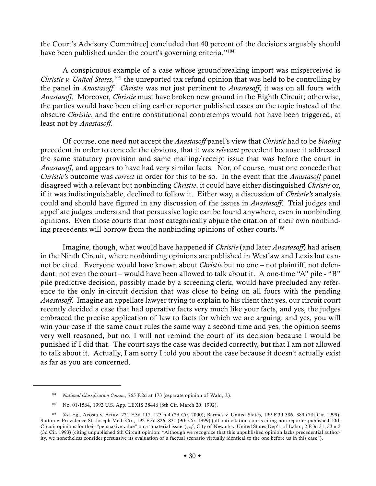the Court's Advisory Committee] concluded that 40 percent of the decisions arguably should have been published under the court's governing criteria."<sup>104</sup>

A conspicuous example of a case whose groundbreaking import was misperceived is Christie v. United States,<sup>105</sup> the unreported tax refund opinion that was held to be controlling by the panel in *Anastasoff*. *Christie* was not just pertinent to *Anastasoff*, it was on all fours with *Anastasoff*. Moreover, *Christie* must have broken new ground in the Eighth Circuit; otherwise, the parties would have been citing earlier reporter published cases on the topic instead of the obscure *Christie*, and the entire constitutional contretemps would not have been triggered, at least not by *Anastasoff*.

Of course, one need not accept the *Anastasoff* panel's view that *Christie* had to be *binding* precedent in order to concede the obvious, that it was *relevant* precedent because it addressed the same statutory provision and same mailing/receipt issue that was before the court in *Anastasoff*, and appears to have had very similar facts. Nor, of course, must one concede that *Christie's* outcome was *correct* in order for this to be so. In the event that the *Anastasoff* panel disagreed with a relevant but nonbinding *Christie*, it could have either distinguished *Christie* or, if it was indistinguishable, declined to follow it. Either way, a discussion of *Christie's* analysis could and should have figured in any discussion of the issues in *Anastasoff*. Trial judges and appellate judges understand that persuasive logic can be found anywhere, even in nonbinding opinions. Even those courts that most categorically abjure the citation of their own nonbinding precedents will borrow from the nonbinding opinions of other courts.<sup>106</sup>

Imagine, though, what would have happened if *Christie* (and later *Anastasoff*) had arisen in the Ninth Circuit, where nonbinding opinions are published in Westlaw and Lexis but cannot be cited. Everyone would have known about *Christie* but no one – not plaintiff, not defendant, not even the court – would have been allowed to talk about it. A one-time "A" pile - "B" pile predictive decision, possibly made by a screening clerk, would have precluded any reference to the only in-circuit decision that was close to being on all fours with the pending *Anastasoff*. Imagine an appellate lawyer trying to explain to his client that yes, our circuit court recently decided a case that had operative facts very much like your facts, and yes, the judges embraced the precise application of law to facts for which we are arguing, and yes, you will win your case if the same court rules the same way a second time and yes, the opinion seems very well reasoned, but no, I will not remind the court of its decision because I would be punished if I did that. The court says the case was decided correctly, but that I am not allowed to talk about it. Actually, I am sorry I told you about the case because it doesn't actually exist as far as you are concerned.

<sup>104</sup> *National Classification Comm.,* 765 F.2d at 173 (separate opinion of Wald, J.).

<sup>105</sup> No. 01-1564, 1992 U.S. App. LEXIS 38446 (8th Cir. March 20, 1992).

<sup>106</sup> *See*, *e.g.*, Acosta v. Artuz, 221 F.3d 117, 123 n.4 (2d Cir. 2000); Barmes v. United States, 199 F.3d 386, 389 (7th Cir. 1999); Sutton v. Providence St. Joseph Med. Ctr., 192 F.3d 826, 831 (9th Cir. 1999) (all anti-citation courts citing non-reporter-published 10th Circuit opinions for their "persuasive value" on a "material issue"); *cf.*, City of Newark v. United States Dep't. of Labor, 2 F.3d 31, 33 n.3 (3d Cir. 1993) (citing unpublished 6th Circuit opinion: "Although we recognize that this unpublished opinion lacks precedential authority, we nonetheless consider persuasive its evaluation of a factual scenario virtually identical to the one before us in this case").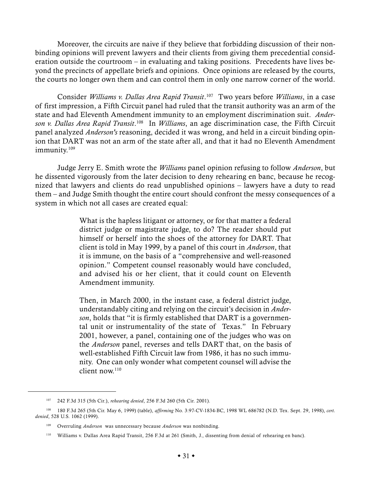Moreover, the circuits are naive if they believe that forbidding discussion of their nonbinding opinions will prevent lawyers and their clients from giving them precedential consideration outside the courtroom – in evaluating and taking positions. Precedents have lives beyond the precincts of appellate briefs and opinions. Once opinions are released by the courts, the courts no longer own them and can control them in only one narrow corner of the world.

Consider *Williams v. Dallas Area Rapid Transit*. 107 Two years before *Williams*, in a case of first impression, a Fifth Circuit panel had ruled that the transit authority was an arm of the state and had Eleventh Amendment immunity to an employment discrimination suit. *Anderson v. Dallas Area Rapid Transit*. 108 In *Williams*, an age discrimination case, the Fifth Circuit panel analyzed *Anderson's* reasoning, decided it was wrong, and held in a circuit binding opinion that DART was not an arm of the state after all, and that it had no Eleventh Amendment immunity.<sup>109</sup>

Judge Jerry E. Smith wrote the *Williams* panel opinion refusing to follow *Anderson*, but he dissented vigorously from the later decision to deny rehearing en banc, because he recognized that lawyers and clients do read unpublished opinions – lawyers have a duty to read them – and Judge Smith thought the entire court should confront the messy consequences of a system in which not all cases are created equal:

> What is the hapless litigant or attorney, or for that matter a federal district judge or magistrate judge, to do? The reader should put himself or herself into the shoes of the attorney for DART. That client is told in May 1999, by a panel of this court in *Anderson*, that it is immune, on the basis of a "comprehensive and well-reasoned opinion." Competent counsel reasonably would have concluded, and advised his or her client, that it could count on Eleventh Amendment immunity.

> Then, in March 2000, in the instant case, a federal district judge, understandably citing and relying on the circuit's decision in *Anderson*, holds that "it is firmly established that DART is a governmental unit or instrumentality of the state of Texas." In February 2001, however, a panel, containing one of the judges who was on the *Anderson* panel, reverses and tells DART that, on the basis of well-established Fifth Circuit law from 1986, it has no such immunity. One can only wonder what competent counsel will advise the client now.110

<sup>107</sup> 242 F.3d 315 (5th Cir.), *rehearing denied*, 256 F.3d 260 (5th Cir. 2001).

<sup>108</sup> 180 F.3d 265 (5th Cir. May 6, 1999) (table), *affirming* No. 3:97-CV-1834-BC, 1998 WL 686782 (N.D. Tex. Sept. 29, 1998), *cert. denied*, 528 U.S. 1062 (1999).

<sup>109</sup> Overruling *Anderson* was unnecessary because *Anderson* was nonbinding.

<sup>110</sup> Williams v. Dallas Area Rapid Transit, 256 F.3d at 261 (Smith, J., dissenting from denial of rehearing en banc).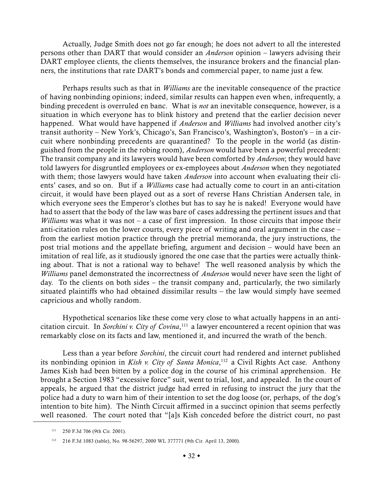Actually, Judge Smith does not go far enough; he does not advert to all the interested persons other than DART that would consider an *Anderson* opinion – lawyers advising their DART employee clients, the clients themselves, the insurance brokers and the financial planners, the institutions that rate DART's bonds and commercial paper, to name just a few.

Perhaps results such as that in *Williams* are the inevitable consequence of the practice of having nonbinding opinions; indeed, similar results can happen even when, infrequently, a binding precedent is overruled en banc. What is *not* an inevitable consequence, however, is a situation in which everyone has to blink history and pretend that the earlier decision never happened. What would have happened if *Anderson* and *Williams* had involved another city's transit authority – New York's, Chicago's, San Francisco's, Washington's, Boston's – in a circuit where nonbinding precedents are quarantined? To the people in the world (as distinguished from the people in the robing room), *Anderson* would have been a powerful precedent: The transit company and its lawyers would have been comforted by *Anderson*; they would have told lawyers for disgruntled employees or ex-employees about *Anderson* when they negotiated with them; those lawyers would have taken *Anderson* into account when evaluating their clients' cases, and so on. But if a *Williams* case had actually come to court in an anti-citation circuit, it would have been played out as a sort of reverse Hans Christian Andersen tale, in which everyone sees the Emperor's clothes but has to say he is naked! Everyone would have had to assert that the body of the law was bare of cases addressing the pertinent issues and that *Williams* was what it was not – a case of first impression. In those circuits that impose their anti-citation rules on the lower courts, every piece of writing and oral argument in the case – from the earliest motion practice through the pretrial memoranda, the jury instructions, the post trial motions and the appellate briefing, argument and decision – would have been an imitation of real life, as it studiously ignored the one case that the parties were actually thinking about. That is not a rational way to behave! The well reasoned analysis by which the *Williams* panel demonstrated the incorrectness of *Anderson* would never have seen the light of day. To the clients on both sides – the transit company and, particularly, the two similarly situated plaintiffs who had obtained dissimilar results – the law would simply have seemed capricious and wholly random.

Hypothetical scenarios like these come very close to what actually happens in an anticitation circuit. In *Sorchini v. City of Covina*, 111 a lawyer encountered a recent opinion that was remarkably close on its facts and law, mentioned it, and incurred the wrath of the bench.

Less than a year before *Sorchini*, the circuit court had rendered and internet published its nonbinding opinion in *Kish v. City of Santa Monica*, 112 a Civil Rights Act case. Anthony James Kish had been bitten by a police dog in the course of his criminal apprehension. He brought a Section 1983 "excessive force" suit, went to trial, lost, and appealed. In the court of appeals, he argued that the district judge had erred in refusing to instruct the jury that the police had a duty to warn him of their intention to set the dog loose (or, perhaps, of the dog's intention to bite him). The Ninth Circuit affirmed in a succinct opinion that seems perfectly well reasoned. The court noted that "[a]s Kish conceded before the district court, no past

<sup>111</sup> 250 F.3d 706 (9th Cir. 2001).

<sup>112</sup> 216 F.3d 1083 (table), No. 98-56297, 2000 WL 377771 (9th Cir. April 13, 2000).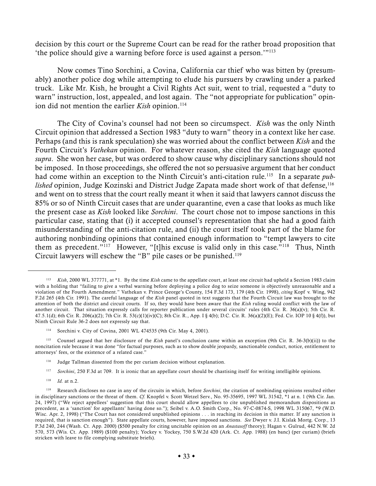decision by this court or the Supreme Court can be read for the rather broad proposition that 'the police should give a warning before force is used against a person.'"113

Now comes Tino Sorchini, a Covina, California car thief who was bitten by (presumably) another police dog while attempting to elude his pursuers by crawling under a parked truck. Like Mr. Kish, he brought a Civil Rights Act suit, went to trial, requested a "duty to warn" instruction, lost, appealed, and lost again. The "not appropriate for publication" opinion did not mention the earlier *Kish* opinion.<sup>114</sup>

The City of Covina's counsel had not been so circumspect. *Kish* was the only Ninth Circuit opinion that addressed a Section 1983 "duty to warn" theory in a context like her case. Perhaps (and this is rank speculation) she was worried about the conflict between *Kish* and the Fourth Circuit's *Vathekan* opinion. For whatever reason, she cited the *Kish* language quoted *supra*. She won her case, but was ordered to show cause why disciplinary sanctions should not be imposed. In those proceedings, she offered the not so persuasive argument that her conduct had come within an exception to the Ninth Circuit's anti-citation rule.115 In a separate *published* opinion, Judge Kozinski and District Judge Zapata made short work of that defense,<sup>116</sup> and went on to stress that the court really meant it when it said that lawyers cannot discuss the 85% or so of Ninth Circuit cases that are under quarantine, even a case that looks as much like the present case as *Kish* looked like *Sorchini*. The court chose not to impose sanctions in this particular case, stating that (i) it accepted counsel's representation that she had a good faith misunderstanding of the anti-citation rule, and (ii) the court itself took part of the blame for authoring nonbinding opinions that contained enough information to "tempt lawyers to cite them as precedent."<sup>117</sup> However, "[t]his excuse is valid only in this case."<sup>118</sup> Thus, Ninth Circuit lawyers will eschew the "B" pile cases or be punished.119

- <sup>116</sup> Judge Tallman dissented from the per curiam decision without explanation.
- <sup>117</sup> *Sorchini*, 250 F.3d at 709. It is ironic that an appellate court should be chastising itself for writing intelligible opinions.
- <sup>118</sup> *Id.* at n.2.

<sup>113</sup> *Kish*, 2000 WL 377771, at \*1. By the time *Kish* came to the appellate court, at least one circuit had upheld a Section 1983 claim with a holding that "failing to give a verbal warning before deploying a police dog to seize someone is objectively unreasonable and a violation of the Fourth Amendment." Vathekan v. Prince George's County, 154 F.3d 173, 179 (4th Cir. 1998), *citing* Kopf v. Wing, 942 F.2d 265 (4th Cir. 1991). The careful language of the *Kish* panel quoted in text suggests that the Fourth Circuit law was brought to the attention of both the district and circuit courts. If so, they would have been aware that the *Kish* ruling would conflict with the law of another circuit. That situation expressly calls for reporter publication under several circuits' rules (4th Cir. R. 36(a)(v); 5th Cir. R. 47.5.1(d); 6th Cir. R. 206(a)(2); 7th Cir. R. 53(c)(1)(iv)(C); 8th Cir. R., App. I § 4(b); D.C. Cir. R. 36(a)(2)(E); Fed. Cir. IOP 10 § 4(f)), but Ninth Circuit Rule 36-2 does not expressly say that.

Sorchini v. City of Covina, 2001 WL 474535 (9th Cir. May 4, 2001).

<sup>115</sup> Counsel argued that her disclosure of the *Kish* panel's conclusion came within an exception (9th Cir. R. 36-3(b)(ii)) to the noncitation rule because it was done "for factual purposes, such as to show double jeopardy, sanctionable conduct, notice, entitlement to attorneys' fees, or the existence of a related case."

<sup>119</sup> Research discloses no case in any of the circuits in which, before *Sorchini*, the citation of nonbinding opinions resulted either in disciplinary sanctions or the threat of them. *Cf.* Knopfel v. Scott Wetzel Serv., No. 95-35695, 1997 WL 31542, \*1 at n. 1 (9th Cir. Jan. 24, 1997) ("We reject appellees' suggestion that this court should allow appellees to cite unpublished memorandum dispositions as precedent, as a 'sanction' for appellants' having done so."); Seibel v. A.O. Smith Corp., No. 97-C-0874-S, 1998 WL 315067, \*9 (W.D. Wisc. Apr. 2, 1998) ("The Court has not considered unpublished opinions . . . in reaching its decision in this matter. If any sanction is required, that is sanction enough"). State appellate courts, however, have imposed sanctions. *See* Dwyer v. J.I. Kislak Mortg. Corp., 13 P.3d 240, 244 (Wash. Ct. App. 2000) (\$500 penalty for citing uncitable opinion on an *Anastasoff* theory); Hagan v. Gulrud, 442 N.W. 2d 570, 573 (Wis. Ct. App. 1989) (\$100 penalty); Yockey v. Yockey, 750 S.W.2d 420 (Ark. Ct. App. 1988) (en banc) (per curiam) (briefs stricken with leave to file complying substitute briefs).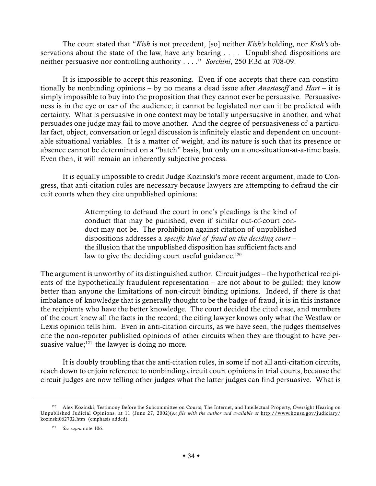The court stated that "*Kish* is not precedent, [so] neither *Kish's* holding, nor *Kish's* observations about the state of the law, have any bearing . . . . Unpublished dispositions are neither persuasive nor controlling authority . . . ." *Sorchini*, 250 F.3d at 708-09.

It is impossible to accept this reasoning. Even if one accepts that there can constitutionally be nonbinding opinions – by no means a dead issue after *Anastasoff* and *Hart* – it is simply impossible to buy into the proposition that they cannot ever be persuasive. Persuasiveness is in the eye or ear of the audience; it cannot be legislated nor can it be predicted with certainty. What is persuasive in one context may be totally unpersuasive in another, and what persuades one judge may fail to move another. And the degree of persuasiveness of a particular fact, object, conversation or legal discussion is infinitely elastic and dependent on uncountable situational variables. It is a matter of weight, and its nature is such that its presence or absence cannot be determined on a "batch" basis, but only on a one-situation-at-a-time basis. Even then, it will remain an inherently subjective process.

It is equally impossible to credit Judge Kozinski's more recent argument, made to Congress, that anti-citation rules are necessary because lawyers are attempting to defraud the circuit courts when they cite unpublished opinions:

> Attempting to defraud the court in one's pleadings is the kind of conduct that may be punished, even if similar out-of-court conduct may not be. The prohibition against citation of unpublished dispositions addresses a *specific kind of fraud on the deciding court* – the illusion that the unpublished disposition has sufficient facts and law to give the deciding court useful guidance.<sup>120</sup>

The argument is unworthy of its distinguished author. Circuit judges – the hypothetical recipients of the hypothetically fraudulent representation – are not about to be gulled; they know better than anyone the limitations of non-circuit binding opinions. Indeed, if there is that imbalance of knowledge that is generally thought to be the badge of fraud, it is in this instance the recipients who have the better knowledge. The court decided the cited case, and members of the court knew all the facts in the record; the citing lawyer knows only what the Westlaw or Lexis opinion tells him. Even in anti-citation circuits, as we have seen, the judges themselves cite the non-reporter published opinions of other circuits when they are thought to have persuasive value; $121$  the lawyer is doing no more.

It is doubly troubling that the anti-citation rules, in some if not all anti-citation circuits, reach down to enjoin reference to nonbinding circuit court opinions in trial courts, because the circuit judges are now telling other judges what the latter judges can find persuasive. What is

<sup>120</sup> Alex Kozinski, Testimony Before the Subcommittee on Courts, The Internet, and Intellectual Property, Oversight Hearing on Unpublished Judicial Opinions, at 11 (June 27, 2002)(*on file with the author and available at* http://www.house.gov/judiciary/ kozinski062702.htm (emphasis added).

<sup>121</sup> *See supra* note 106.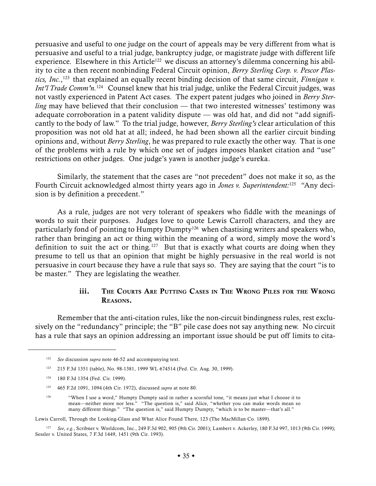persuasive and useful to one judge on the court of appeals may be very different from what is persuasive and useful to a trial judge, bankruptcy judge, or magistrate judge with different life experience. Elsewhere in this Article<sup>122</sup> we discuss an attorney's dilemma concerning his ability to cite a then recent nonbinding Federal Circuit opinion, *Berry Sterling Corp. v. Pescor Plas*tics, Inc.,<sup>123</sup> that explained an equally recent binding decision of that same circuit, *Finnigan v*. *Int'l Trade Comm'n.*<sup>124</sup> Counsel knew that his trial judge, unlike the Federal Circuit judges, was not vastly experienced in Patent Act cases. The expert patent judges who joined in *Berry Sterling* may have believed that their conclusion — that two interested witnesses' testimony was adequate corroboration in a patent validity dispute — was old hat, and did not "add significantly to the body of law." To the trial judge, however, *Berry Sterling's* clear articulation of this proposition was not old hat at all; indeed, he had been shown all the earlier circuit binding opinions and, without *Berry Sterling*, he was prepared to rule exactly the other way. That is one of the problems with a rule by which one set of judges imposes blanket citation and "use" restrictions on other judges. One judge's yawn is another judge's eureka.

Similarly, the statement that the cases are "not precedent" does not make it so, as the Fourth Circuit acknowledged almost thirty years ago in *Jones v. Superintendent:*125 "Any decision is by definition a precedent."

As a rule, judges are not very tolerant of speakers who fiddle with the meanings of words to suit their purposes. Judges love to quote Lewis Carroll characters, and they are particularly fond of pointing to Humpty Dumpty<sup>126</sup> when chastising writers and speakers who, rather than bringing an act or thing within the meaning of a word, simply move the word's definition to suit the act or thing.<sup>127</sup> But that is exactly what courts are doing when they presume to tell us that an opinion that might be highly persuasive in the real world is not persuasive in court because they have a rule that says so. They are saying that the court "is to be master." They are legislating the weather.

## iii. THE COURTS ARE PUTTING CASES IN THE WRONG PILES FOR THE WRONG REASONS.

Remember that the anti-citation rules, like the non-circuit bindingness rules, rest exclusively on the "redundancy" principle; the "B" pile case does not say anything new. No circuit has a rule that says an opinion addressing an important issue should be put off limits to cita-

Lewis Carroll, Through the Looking-Glass and What Alice Found There, 123 (The MacMillan Co. 1899).

<sup>122</sup> *See* discussion *supra* note 46-52 and accompanying text.

<sup>123</sup> 215 F.3d 1351 (table), No. 98-1381, 1999 WL 674514 (Fed. Cir. Aug. 30, 1999).

<sup>124</sup> 180 F.3d 1354 (Fed. Cir. 1999).

<sup>125</sup> 465 F.2d 1091, 1094 (4th Cir. 1972), discussed *supra* at note 80.

<sup>126</sup> "When I use a word," Humpty Dumpty said in rather a scornful tone, "it means just what I choose it to mean—neither more nor less." "The question is," said Alice, "whether you can make words mean so many different things." "The question is," said Humpty Dumpty, "which is to be master—that's all."

<sup>127</sup> *See*, *e.g.*, Scribner v. Worldcom, Inc., 249 F.3d 902, 905 (9th Cir. 2001); Lambert v. Ackerley, 180 F.3d 997, 1013 (9th Cir. 1999); Sessler v. United States, 7 F.3d 1449, 1451 (9th Cir. 1993).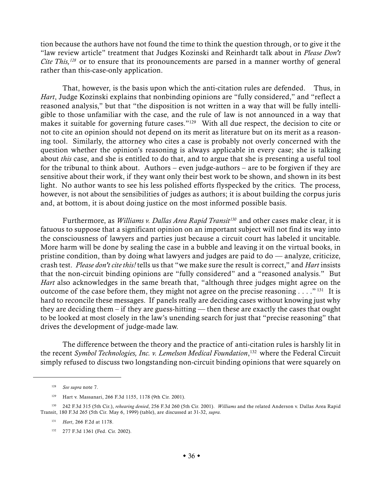tion because the authors have not found the time to think the question through, or to give it the "law review article" treatment that Judges Kozinski and Reinhardt talk about in *Please Don't Cite This,<sup>128</sup>* or to ensure that its pronouncements are parsed in a manner worthy of general rather than this-case-only application.

That, however, is the basis upon which the anti-citation rules are defended. Thus, in *Hart*, Judge Kozinski explains that nonbinding opinions are "fully considered," and "reflect a reasoned analysis," but that "the disposition is not written in a way that will be fully intelligible to those unfamiliar with the case, and the rule of law is not announced in a way that makes it suitable for governing future cases."129 With all due respect, the decision to cite or not to cite an opinion should not depend on its merit as literature but on its merit as a reasoning tool. Similarly, the attorney who cites a case is probably not overly concerned with the question whether the opinion's reasoning is always applicable in every case; she is talking about *this* case, and she is entitled to do that, and to argue that she is presenting a useful tool for the tribunal to think about. Authors – even judge-authors – are to be forgiven if they are sensitive about their work, if they want only their best work to be shown, and shown in its best light. No author wants to see his less polished efforts flyspecked by the critics. The process, however, is not about the sensibilities of judges as authors; it is about building the corpus juris and, at bottom, it is about doing justice on the most informed possible basis.

Furthermore, as *Williams v. Dallas Area Rapid Transit<sup>130</sup>* and other cases make clear, it is fatuous to suppose that a significant opinion on an important subject will not find its way into the consciousness of lawyers and parties just because a circuit court has labeled it uncitable. More harm will be done by sealing the case in a bubble and leaving it on the virtual books, in pristine condition, than by doing what lawyers and judges are paid to do — analyze, criticize, crash test. *Please don't cite this!* tells us that "we make sure the result is correct," and *Hart* insists that the non-circuit binding opinions are "fully considered" and a "reasoned analysis." But *Hart* also acknowledges in the same breath that, "although three judges might agree on the outcome of the case before them, they might not agree on the precise reasoning  $\dots$ ."<sup>131</sup> It is hard to reconcile these messages. If panels really are deciding cases without knowing just why they are deciding them – if they are guess-hitting — then these are exactly the cases that ought to be looked at most closely in the law's unending search for just that "precise reasoning" that drives the development of judge-made law.

The difference between the theory and the practice of anti-citation rules is harshly lit in the recent *Symbol Technologies, Inc. v. Lemelson Medical Foundation*, 132 where the Federal Circuit simply refused to discuss two longstanding non-circuit binding opinions that were squarely on

<sup>128</sup> *See supra* note 7.

<sup>129</sup> Hart v. Massanari, 266 F.3d 1155, 1178 (9th Cir. 2001).

<sup>130</sup> 242 F.3d 315 (5th Cir.), *rehearing denied*, 256 F.3d 260 (5th Cir. 2001). *Williams* and the related Anderson v. Dallas Area Rapid Transit, 180 F.3d 265 (5th Cir. May 6, 1999) (table), are discussed at 31-32, *supra.*

<sup>131</sup> *Hart*, 266 F.2d at 1178.

<sup>132</sup> 277 F.3d 1361 (Fed. Cir. 2002).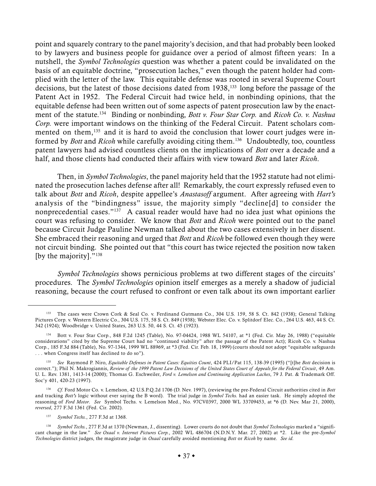point and squarely contrary to the panel majority's decision, and that had probably been looked to by lawyers and business people for guidance over a period of almost fifteen years: In a nutshell, the *Symbol Technologies* question was whether a patent could be invalidated on the basis of an equitable doctrine, "prosecution laches," even though the patent holder had complied with the letter of the law. This equitable defense was rooted in several Supreme Court decisions, but the latest of those decisions dated from 1938,<sup>133</sup> long before the passage of the Patent Act in 1952. The Federal Circuit had twice held, in nonbinding opinions, that the equitable defense had been written out of some aspects of patent prosecution law by the enactment of the statute.134 Binding or nonbinding, *Bott v. Four Star Corp.* and *Ricoh Co. v. Nashua Corp.* were important windows on the thinking of the Federal Circuit. Patent scholars commented on them,<sup>135</sup> and it is hard to avoid the conclusion that lower court judges were informed by *Bott* and *Ricoh* while carefully avoiding citing them.136 Undoubtedly, too, countless patent lawyers had advised countless clients on the implications of *Bott* over a decade and a half, and those clients had conducted their affairs with view toward *Bott* and later *Ricoh*.

Then, in *Symbol Technologies*, the panel majority held that the 1952 statute had not eliminated the prosecution laches defense after all! Remarkably, the court expressly refused even to talk about *Bott* and *Ricoh*, despite appellee's *Anastasoff* argument. After agreeing with *Hart's* analysis of the "bindingness" issue, the majority simply "decline[d] to consider the nonprecedential cases."<sup>137</sup> A casual reader would have had no idea just what opinions the court was refusing to consider. We know that *Bott* and *Ricoh* were pointed out to the panel because Circuit Judge Pauline Newman talked about the two cases extensively in her dissent. She embraced their reasoning and urged that *Bott* and *Ricoh* be followed even though they were not circuit binding. She pointed out that "this court has twice rejected the position now taken [by the majority]."<sup>138</sup>

*Symbol Technologies* shows pernicious problems at two different stages of the circuits' procedures. The *Symbol Technologies* opinion itself emerges as a merely a shadow of judicial reasoning, because the court refused to confront or even talk about its own important earlier

<sup>133</sup> The cases were Crown Cork & Seal Co. v. Ferdinand Gutmann Co., 304 U.S. 159, 58 S. Ct. 842 (1938); General Talking Pictures Corp. v. Western Electric Co., 304 U.S. 175, 58 S. Ct. 849 (1938); Webster Elec. Co. v. Splitdorf Elec. Co., 264 U.S. 463, 44 S. Ct. 342 (1924); Woodbridge v. United States, 263 U.S. 50, 44 S. Ct. 45 (1923).

<sup>134</sup> Bott v. Four Star Corp., 848 F.2d 1245 (Table), No. 97-04424, 1988 WL 54107, at \*1 (Fed. Cir. May 26, 1988) ("equitable considerations" cited by the Supreme Court had no "continued viability" after the passage of the Patent Act); Ricoh Co. v. Nashua Corp., 185 F.3d 884 (Table), No. 97-1344, 1999 WL 88969, at \*3 (Fed. Cir. Feb. 18, 1999) (courts should not adopt "equitable safeguards . . . when Congress itself has declined to do so").

<sup>135</sup> *See* Raymond P. Niro, *Equitable Defenses in Patent Cases: Equities Count*, 424 PLI/Pat 115, 138-39 (1995) ("[t]he *Bott* decision is correct."); Phil N. Makrogiannis, Review of the 1999 Patent Law Decisions of the United States Court of Appeals for the Federal Circuit, 49 Am. U. L. Rev. 1381, 1413-14 (2000); Thomas G. Eschweiler, *Ford v. Lemelson and Continuing Application Laches*, 79 J. Pat. & Trademark Off. Soc'y 401, 420-23 (1997).

<sup>136</sup> *Cf.* Ford Motor Co. v. Lemelson, 42 U.S.P.Q.2d 1706 (D. Nev. 1997), (reviewing the pre-Federal Circuit authorities cited in *Bott* and tracking *Bott's* logic without ever saying the B word). The trial judge in *Symbol Techs.* had an easier task. He simply adopted the reasoning of *Ford Motor*. *See* Symbol Techs. v. Lemelson Med., No. 97CV0397, 2000 WL 33709453, at \*6 (D. Nev. Mar 21, 2000), *reversed*, 277 F.3d 1361 (Fed. Cir. 2002).

<sup>137</sup> *Symbol Techs.*, 277 F.3d at 1368.

<sup>138</sup> *Symbol Techs.*, 277 F.3d at 1370 (Newman, J., dissenting). Lower courts do not doubt that *Symbol Technologies* marked a "significant change in the law." *See Oxaal v. Internet Pictures Corp.*, 2002 WL 486704 (N.D.N.Y. Mar. 27, 2002) at \*2. Like the pre-*Symbol Technologies* district judges, the magistrate judge in *Oxaal* carefully avoided mentioning *Bott* or *Ricoh* by name. *See id.*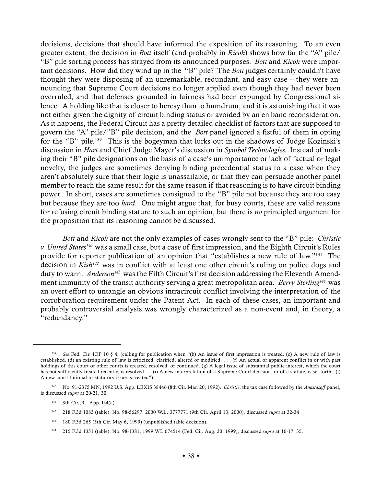decisions, decisions that should have informed the exposition of its reasoning. To an even greater extent, the decision in *Bott* itself (and probably in *Ricoh*) shows how far the "A" pile/ "B" pile sorting process has strayed from its announced purposes. *Bott* and *Ricoh* were important decisions. How did they wind up in the "B" pile? The *Bott* judges certainly couldn't have thought they were disposing of an unremarkable, redundant, and easy case – they were announcing that Supreme Court decisions no longer applied even though they had never been overruled, and that defenses grounded in fairness had been expunged by Congressional silence. A holding like that is closer to heresy than to humdrum, and it is astonishing that it was not either given the dignity of circuit binding status or avoided by an en banc reconsideration. As it happens, the Federal Circuit has a pretty detailed checklist of factors that are supposed to govern the "A" pile/"B" pile decision, and the *Bott* panel ignored a fistful of them in opting for the "B" pile.<sup>139</sup> This is the bogeyman that lurks out in the shadows of Judge Kozinski's discussion in *Hart* and Chief Judge Mayer's discussion in *Symbol Technologies.* Instead of making their "B" pile designations on the basis of a case's unimportance or lack of factual or legal novelty, the judges are sometimes denying binding precedential status to a case when they aren't absolutely sure that their logic is unassailable, or that they can persuade another panel member to reach the same result for the same reason if that reasoning is to have circuit binding power. In short, cases are sometimes consigned to the "B" pile not because they are too easy but because they are too *hard*. One might argue that, for busy courts, these are valid reasons for refusing circuit binding stature to such an opinion, but there is *no* principled argument for the proposition that its reasoning cannot be discussed.

*Bott* and *Ricoh* are not the only examples of cases wrongly sent to the "B" pile: *Christie v. United States140* was a small case, but a case of first impression, and the Eighth Circuit's Rules provide for reporter publication of an opinion that "establishes a new rule of law."141 The decision in *Kish<sup>142</sup>* was in conflict with at least one other circuit's ruling on police dogs and duty to warn. *Anderson<sup>143</sup>* was the Fifth Circuit's first decision addressing the Eleventh Amendment immunity of the transit authority serving a great metropolitan area. *Berry Sterling144* was an overt effort to untangle an obvious intracircuit conflict involving the interpretation of the corroboration requirement under the Patent Act. In each of these cases, an important and probably controversial analysis was wrongly characterized as a non-event and, in theory, a "redundancy."

<sup>&</sup>lt;sup>139</sup> *See* Fed. Cir. IOP 10 § 4, (calling for publication when "(b) An issue of first impression is treated. (c) A new rule of law is established. (d) an existing rule of law is criticized, clarified, altered or modified. . . . (f) An actual or apparent conflict in or with past holdings of this court or other courts is created, resolved, or continued. (g) A legal issue of substantial public interest, which the court has not sufficiently treated recently, is resolved. . . (i) A new interpretation of a Supreme Court decision, or of a statute, is set forth. (j) A new constitutional or statutory issue is treated").

<sup>140</sup> No. 91-2375 MN, 1992 U.S. App. LEXIS 38446 (8th Cir. Mar. 20, 1992). *Christie*, the tax case followed by the *Anastasoff* panel, is discussed *supra* at 20-21, 30.

<sup>141</sup> 8th Cir.,R., App. I§4(a).

<sup>142</sup> 218 F.3d 1083 (table), No. 98-56297, 2000 W.L. 3777771 (9th Cir. April 13, 2000), discussed *supra* at 32-34

<sup>143</sup> 180 F.3d 265 (5th Cir. May 6, 1999) (unpublished table decision).

<sup>144</sup> 215 F.3d 1351 (table), No. 98-1381, 1999 WL 674514 (Fed. Cir. Aug. 30, 1999), discussed *supra* at 16-17, 35.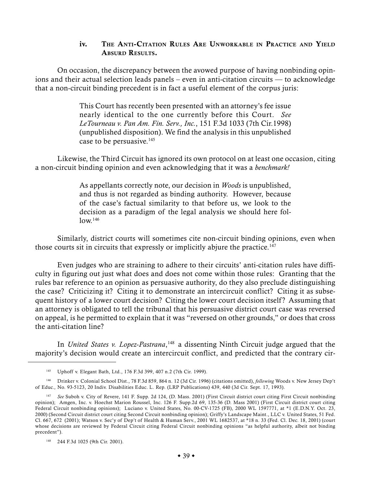### iv. THE ANTI-CITATION RULES ARE UNWORKABLE IN PRACTICE AND YIELD ABSURD RESULTS.

On occasion, the discrepancy between the avowed purpose of having nonbinding opinions and their actual selection leads panels – even in anti-citation circuits — to acknowledge that a non-circuit binding precedent is in fact a useful element of the corpus juris:

> This Court has recently been presented with an attorney's fee issue nearly identical to the one currently before this Court. *See LeTourneau v. Pan Am. Fin. Serv., Inc.*, 151 F.3d 1033 (7th Cir.1998) (unpublished disposition). We find the analysis in this unpublished case to be persuasive.<sup>145</sup>

Likewise, the Third Circuit has ignored its own protocol on at least one occasion, citing a non-circuit binding opinion and even acknowledging that it was a *benchmark!*

> As appellants correctly note, our decision in *Woods* is unpublished, and thus is not regarded as binding authority. However, because of the case's factual similarity to that before us, we look to the decision as a paradigm of the legal analysis we should here fol- $10w.$ <sup>146</sup>

Similarly, district courts will sometimes cite non-circuit binding opinions, even when those courts sit in circuits that expressly or implicitly abjure the practice.<sup>147</sup>

Even judges who are straining to adhere to their circuits' anti-citation rules have difficulty in figuring out just what does and does not come within those rules: Granting that the rules bar reference to an opinion as persuasive authority, do they also preclude distinguishing the case? Criticizing it? Citing it to demonstrate an intercircuit conflict? Citing it as subsequent history of a lower court decision? Citing the lower court decision itself? Assuming that an attorney is obligated to tell the tribunal that his persuasive district court case was reversed on appeal, is he permitted to explain that it was "reversed on other grounds," or does that cross the anti-citation line?

In *United States v. Lopez-Pastrana*, 148 a dissenting Ninth Circuit judge argued that the majority's decision would create an intercircuit conflict, and predicted that the contrary cir-

<sup>145</sup> Uphoff v. Elegant Bath, Ltd., 176 F.3d 399, 407 n.2 (7th Cir. 1999).

<sup>146</sup> Drinker v. Colonial School Dist., 78 F.3d 859, 864 n. 12 (3d Cir. 1996) (citations omitted), *following* Woods v. New Jersey Dep't of Educ.*,* No. 93-5123, 20 Indiv. Disabilities Educ. L. Rep. (LRP Publications) 439, 440 (3d Cir. Sept. 17, 1993).

<sup>147</sup> *See* Suboh v. City of Revere, 141 F. Supp. 2d 124, (D. Mass. 2001) (First Circuit district court citing First Circuit nonbinding opinion); Amgen, Inc. v. Hoechst Marion Roussel, Inc. 126 F. Supp.2d 69, 135-36 (D. Mass 2001) (First Circuit district court citing Federal Circuit nonbinding opinions); Luciano v. United States, No. 00-CV-1725 (FB), 2000 WL 1597771, at \*1 (E.D.N.Y. Oct. 23, 2000) (Second Circuit district court citing Second Circuit nonbinding opinion); Griffy's Landscape Maint., LLC v. United States, 51 Fed. Cl. 667, 672 (2001); Watson v. Sec'y of Dep't of Health & Human Serv., 2001 WL 1682537, at \*18 n. 33 (Fed. Cl. Dec. 18, 2001) (court whose decisions are reviewed by Federal Circuit citing Federal Circuit nonbinding opinions "as helpful authority, albeit not binding precedent").

<sup>148</sup> 244 F.3d 1025 (9th Cir. 2001).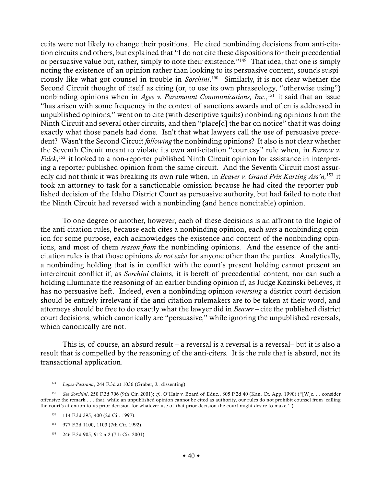cuits were not likely to change their positions. He cited nonbinding decisions from anti-citation circuits and others, but explained that "I do not cite these dispositions for their precedential or persuasive value but, rather, simply to note their existence."<sup>149</sup> That idea, that one is simply noting the existence of an opinion rather than looking to its persuasive content, sounds suspiciously like what got counsel in trouble in *Sorchini*. 150 Similarly, it is not clear whether the Second Circuit thought of itself as citing (or, to use its own phraseology, "otherwise using") nonbinding opinions when in *Agee v. Paramount Communications, Inc.*, 151 it said that an issue "has arisen with some frequency in the context of sanctions awards and often is addressed in unpublished opinions," went on to cite (with descriptive squibs) nonbinding opinions from the Ninth Circuit and several other circuits, and then "place[d] the bar on notice" that it was doing exactly what those panels had done. Isn't that what lawyers call the use of persuasive precedent? Wasn't the Second Circuit *following* the nonbinding opinions? It also is not clear whether the Seventh Circuit meant to violate its own anti-citation "courtesy" rule when, in *Barrow v. Falck*, 152 it looked to a non-reporter published Ninth Circuit opinion for assistance in interpreting a reporter published opinion from the same circuit. And the Seventh Circuit most assuredly did not think it was breaking its own rule when, in *Beaver v. Grand Prix Karting Ass'n,*<sup>153</sup> it took an attorney to task for a sanctionable omission because he had cited the reporter published decision of the Idaho District Court as persuasive authority, but had failed to note that the Ninth Circuit had reversed with a nonbinding (and hence noncitable) opinion.

To one degree or another, however, each of these decisions is an affront to the logic of the anti-citation rules, because each cites a nonbinding opinion, each *uses* a nonbinding opinion for some purpose, each acknowledges the existence and content of the nonbinding opinions, and most of them *reason from* the nonbinding opinions. And the essence of the anticitation rules is that those opinions *do not exist* for anyone other than the parties. Analytically, a nonbinding holding that is in conflict with the court's present holding cannot present an intercircuit conflict if, as *Sorchini* claims, it is bereft of precedential content, nor can such a holding illuminate the reasoning of an earlier binding opinion if, as Judge Kozinski believes, it has no persuasive heft. Indeed, even a nonbinding opinion *reversing* a district court decision should be entirely irrelevant if the anti-citation rulemakers are to be taken at their word, and attorneys should be free to do exactly what the lawyer did in *Beaver* – cite the published district court decisions, which canonically are "persuasive," while ignoring the unpublished reversals, which canonically are not.

This is, of course, an absurd result – a reversal is a reversal is a reversal– but it is also a result that is compelled by the reasoning of the anti-citers. It is the rule that is absurd, not its transactional application.

<sup>149</sup> *Lopez-Pastrana*, 244 F.3d at 1036 (Graber, J., dissenting).

<sup>150</sup> *See Sorchini*, 250 F.3d 706 (9th Cir. 2001); *cf.*, O'Hair v. Board of Educ., 805 P.2d 40 (Kan. Ct. App. 1990) ("[W]e. . . consider offensive the remark . . . that, while an unpublished opinion cannot be cited as authority, our rules do not prohibit counsel from 'calling the court's attention to its prior decision for whatever use of that prior decision the court might desire to make.'").

<sup>151</sup> 114 F.3d 395, 400 (2d Cir. 1997).

<sup>152</sup> 977 F.2d 1100, 1103 (7th Cir. 1992).

<sup>153</sup> 246 F.3d 905, 912 n.2 (7th Cir. 2001).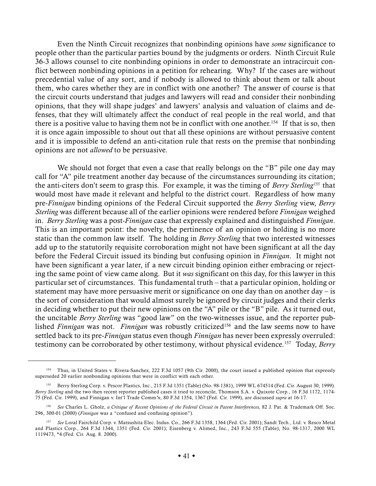Even the Ninth Circuit recognizes that nonbinding opinions have *some* significance to people other than the particular parties bound by the judgments or orders. Ninth Circuit Rule 36-3 allows counsel to cite nonbinding opinions in order to demonstrate an intracircuit conflict between nonbinding opinions in a petition for rehearing. Why? If the cases are without precedential value of any sort, and if nobody is allowed to think about them or talk about them, who cares whether they are in conflict with one another? The answer of course is that the circuit courts understand that judges and lawyers will read and consider their nonbinding opinions, that they will shape judges' and lawyers' analysis and valuation of claims and defenses, that they will ultimately affect the conduct of real people in the real world, and that there is a positive value to having them not be in conflict with one another.<sup>154</sup> If that is so, then it is once again impossible to shout out that all these opinions are without persuasive content and it is impossible to defend an anti-citation rule that rests on the premise that nonbinding opinions are not *allowed* to be persuasive.

We should not forget that even a case that really belongs on the "B" pile one day may call for "A" pile treatment another day because of the circumstances surrounding its citation; the anti-citers don't seem to grasp this. For example, it was the timing of *Berry Sterling155* that would most have made it relevant and helpful to the district court. Regardless of how many pre-*Finnigan* binding opinions of the Federal Circuit supported the *Berry Sterling* view, *Berry Sterling* was different because all of the earlier opinions were rendered before *Finnigan* weighed in. *Berry Sterling* was a post-*Finnigan* case that expressly explained and distinguished *Finnigan*. This is an important point: the novelty, the pertinence of an opinion or holding is no more static than the common law itself. The holding in *Berry Sterling* that two interested witnesses add up to the statutorily requisite corroboration might not have been significant at all the day before the Federal Circuit issued its binding but confusing opinion in *Finnigan*. It might not have been significant a year later, if a new circuit binding opinion either embracing or rejecting the same point of view came along. But it *was* significant on this day, for this lawyer in this particular set of circumstances. This fundamental truth – that a particular opinion, holding or statement may have more persuasive merit or significance on one day than on another day  $-$  is the sort of consideration that would almost surely be ignored by circuit judges and their clerks in deciding whether to put their new opinions on the "A" pile or the "B" pile. As it turned out, the uncitable *Berry Sterling* was "good law" on the two-witnesses issue, and the reporter published *Finnigan* was not. *Finnigan* was robustly criticized<sup>156</sup> and the law seems now to have settled back to its pre-*Finnigan* status even though *Finnigan* has never been expressly overruled: testimony can be corroborated by other testimony, without physical evidence.157 Today, *Berry*

<sup>154</sup> Thus, in United States v. Rivera-Sanchez*,* 222 F.3d 1057 (9th Cir. 2000), the court issued a published opinion that expressly superseded 20 earlier nonbonding opinions that were in conflict with each other.

<sup>155</sup> Berry Sterling Corp. v. Pescor Plastics, Inc*.*, 215 F.3d 1351 (Table) (No. 98-1381), 1999 WL 674514 (Fed. Cir. August 30, 1999). *Berry Sterling* and the two then recent reporter published cases it tried to reconcile, Thomson S.A. v. Quixote Corp*.*, 16 F.3d 1172, 1174- 75 (Fed. Cir. 1999), and Finnigan v. Int'l Trade Comm*'n*, 80 F.3d 1354, 1367 (Fed. Cir. 1999), are discussed *supra* at 16-17.

<sup>156</sup> *See* Charles L. Gholz, *a Critique of Recent Opinions of the Federal Circuit in Patent Interferences,* 82 J. Pat. & Trademark Off. Soc. 296, 300-01 (2000) (*Finnigan* was a "confused and confusing opinion").

<sup>157</sup> *See* Loral Fairchild Corp. v. Matsushita Elec. Indus. Co., 266 F.3d 1358, 1364 (Fed. Cir. 2001); Sandt Tech., Ltd. v. Resco Metal and Plastics Corp., 264 F.3d 1344, 1351 (Fed. Cir. 2001); Eisenberg v. Alimed, Inc., 243 F.3d 555 (Table), No. 98-1317, 2000 WL 1119473, \*4 (Fed. Cir. Aug. 8. 2000).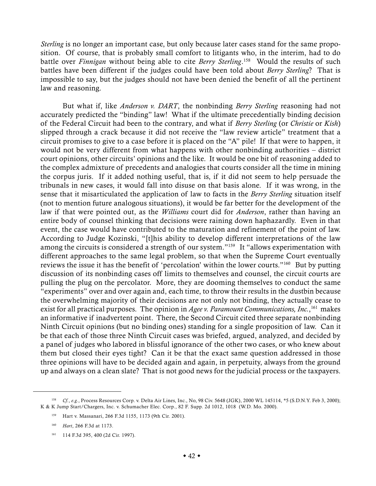*Sterling* is no longer an important case, but only because later cases stand for the same proposition. Of course, that is probably small comfort to litigants who, in the interim, had to do battle over *Finnigan* without being able to cite *Berry Sterling*. 158 Would the results of such battles have been different if the judges could have been told about *Berry Sterling*? That is impossible to say, but the judges should not have been denied the benefit of all the pertinent law and reasoning.

But what if, like *Anderson v. DART*, the nonbinding *Berry Sterling* reasoning had not accurately predicted the "binding" law! What if the ultimate precedentially binding decision of the Federal Circuit had been to the contrary, and what if *Berry Sterling* (or *Christie* or *Kish*) slipped through a crack because it did not receive the "law review article" treatment that a circuit promises to give to a case before it is placed on the "A" pile! If that were to happen, it would not be very different from what happens with other nonbinding authorities – district court opinions, other circuits' opinions and the like. It would be one bit of reasoning added to the complex admixture of precedents and analogies that courts consider all the time in mining the corpus juris. If it added nothing useful, that is, if it did not seem to help persuade the tribunals in new cases, it would fall into disuse on that basis alone. If it was wrong, in the sense that it misarticulated the application of law to facts in the *Berry Sterling* situation itself (not to mention future analogous situations), it would be far better for the development of the law if that were pointed out, as the *Williams* court did for *Anderson*, rather than having an entire body of counsel thinking that decisions were raining down haphazardly. Even in that event, the case would have contributed to the maturation and refinement of the point of law. According to Judge Kozinski, "[t]his ability to develop different interpretations of the law among the circuits is considered a strength of our system."159 It "allows experimentation with different approaches to the same legal problem, so that when the Supreme Court eventually reviews the issue it has the benefit of 'percolation' within the lower courts."<sup>160</sup> But by putting discussion of its nonbinding cases off limits to themselves and counsel, the circuit courts are pulling the plug on the percolator. More, they are dooming themselves to conduct the same "experiments" over and over again and, each time, to throw their results in the dustbin because the overwhelming majority of their decisions are not only not binding, they actually cease to exist for all practical purposes. The opinion in *Agee v. Paramount Communications, Inc.*, 161 makes an informative if inadvertent point. There, the Second Circuit cited three separate nonbinding Ninth Circuit opinions (but no binding ones) standing for a single proposition of law. Can it be that each of those three Ninth Circuit cases was briefed, argued, analyzed, and decided by a panel of judges who labored in blissful ignorance of the other two cases, or who knew about them but closed their eyes tight? Can it be that the exact same question addressed in those three opinions will have to be decided again and again, in perpetuity, always from the ground up and always on a clean slate? That is not good news for the judicial process or the taxpayers.

<sup>158</sup> *Cf.*, *e.g.*, Process Resources Corp. v. Delta Air Lines, Inc., No, 98 Civ. 5648 (JGK), 2000 WL 145114, \*5 (S.D.N.Y. Feb 3, 2000); K & K Jump Start/Chargers, Inc. v. Schumacher Elec. Corp., 82 F. Supp. 2d 1012, 1018 (W.D. Mo. 2000).

<sup>159</sup> Hart v. Massanari, 266 F.3d 1155, 1173 (9th Cir. 2001).

<sup>160</sup> *Hart*, 266 F.3d at 1173.

<sup>161</sup> 114 F.3d 395, 400 (2d Cir. 1997).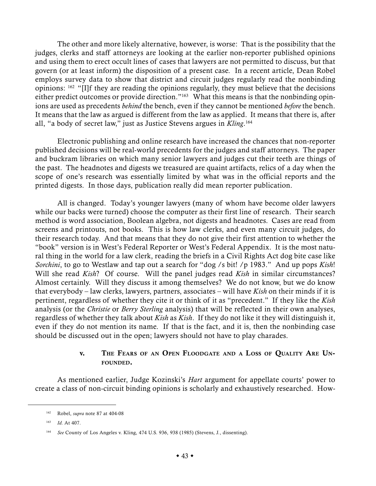The other and more likely alternative, however, is worse: That is the possibility that the judges, clerks and staff attorneys are looking at the earlier non-reporter published opinions and using them to erect occult lines of cases that lawyers are not permitted to discuss, but that govern (or at least inform) the disposition of a present case. In a recent article, Dean Robel employs survey data to show that district and circuit judges regularly read the nonbinding opinions: 162 "[I]f they are reading the opinions regularly, they must believe that the decisions either predict outcomes or provide direction."<sup>163</sup> What this means is that the nonbinding opinions are used as precedents *behind* the bench, even if they cannot be mentioned *before* the bench. It means that the law as argued is different from the law as applied. It means that there is, after all, "a body of secret law," just as Justice Stevens argues in *Kling*. 164

Electronic publishing and online research have increased the chances that non-reporter published decisions will be real-world precedents for the judges and staff attorneys. The paper and buckram libraries on which many senior lawyers and judges cut their teeth are things of the past. The headnotes and digests we treasured are quaint artifacts, relics of a day when the scope of one's research was essentially limited by what was in the official reports and the printed digests. In those days, publication really did mean reporter publication.

All is changed. Today's younger lawyers (many of whom have become older lawyers while our backs were turned) choose the computer as their first line of research. Their search method is word association, Boolean algebra, not digests and headnotes. Cases are read from screens and printouts, not books. This is how law clerks, and even many circuit judges, do their research today. And that means that they do not give their first attention to whether the "book" version is in West's Federal Reporter or West's Federal Appendix. It is the most natural thing in the world for a law clerk, reading the briefs in a Civil Rights Act dog bite case like *Sorchini*, to go to Westlaw and tap out a search for "dog /s bit! /p 1983." And up pops *Kish*! Will she read *Kish*? Of course. Will the panel judges read *Kish* in similar circumstances? Almost certainly. Will they discuss it among themselves? We do not know, but we do know that everybody – law clerks, lawyers, partners, associates – will have *Kish* on their minds if it is pertinent, regardless of whether they cite it or think of it as "precedent." If they like the *Kish* analysis (or the *Christie* or *Berry Sterling* analysis) that will be reflected in their own analyses, regardless of whether they talk about *Kish* as *Kish*. If they do not like it they will distinguish it, even if they do not mention its name. If that is the fact, and it is, then the nonbinding case should be discussed out in the open; lawyers should not have to play charades.

## v. THE FEARS OF AN OPEN FLOODGATE AND A LOSS OF QUALITY ARE UN-FOUNDED.

As mentioned earlier, Judge Kozinski's *Hart* argument for appellate courts' power to create a class of non-circuit binding opinions is scholarly and exhaustively researched. How-

<sup>162</sup> Robel, *supra* note 87 at 404-08

<sup>163</sup> *Id.* At 407.

<sup>164</sup> *See* County of Los Angeles v. Kling, 474 U.S. 936, 938 (1985) (Stevens, J., dissenting).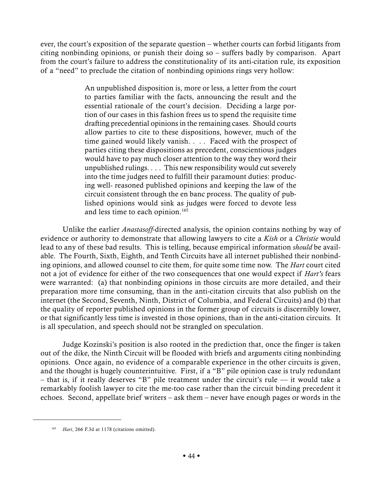ever, the court's exposition of the separate question – whether courts can forbid litigants from citing nonbinding opinions, or punish their doing so – suffers badly by comparison. Apart from the court's failure to address the constitutionality of its anti-citation rule, its exposition of a "need" to preclude the citation of nonbinding opinions rings very hollow:

> An unpublished disposition is, more or less, a letter from the court to parties familiar with the facts, announcing the result and the essential rationale of the court's decision. Deciding a large portion of our cases in this fashion frees us to spend the requisite time drafting precedential opinions in the remaining cases. Should courts allow parties to cite to these dispositions, however, much of the time gained would likely vanish. . . . Faced with the prospect of parties citing these dispositions as precedent, conscientious judges would have to pay much closer attention to the way they word their unpublished rulings. . . . This new responsibility would cut severely into the time judges need to fulfill their paramount duties: producing well- reasoned published opinions and keeping the law of the circuit consistent through the en banc process. The quality of published opinions would sink as judges were forced to devote less and less time to each opinion.<sup>165</sup>

Unlike the earlier *Anastasoff*-directed analysis, the opinion contains nothing by way of evidence or authority to demonstrate that allowing lawyers to cite a *Kish* or a *Christie* would lead to any of these bad results. This is telling, because empirical information *should* be available. The Fourth, Sixth, Eighth, and Tenth Circuits have all internet published their nonbinding opinions, and allowed counsel to cite them, for quite some time now. The *Hart* court cited not a jot of evidence for either of the two consequences that one would expect if *Hart's* fears were warranted: (a) that nonbinding opinions in those circuits are more detailed, and their preparation more time consuming, than in the anti-citation circuits that also publish on the internet (the Second, Seventh, Ninth, District of Columbia, and Federal Circuits) and (b) that the quality of reporter published opinions in the former group of circuits is discernibly lower, or that significantly less time is invested in those opinions, than in the anti-citation circuits. It is all speculation, and speech should not be strangled on speculation.

Judge Kozinski's position is also rooted in the prediction that, once the finger is taken out of the dike, the Ninth Circuit will be flooded with briefs and arguments citing nonbinding opinions. Once again, no evidence of a comparable experience in the other circuits is given, and the thought is hugely counterintuitive. First, if a "B" pile opinion case is truly redundant – that is, if it really deserves "B" pile treatment under the circuit's rule — it would take a remarkably foolish lawyer to cite the me-too case rather than the circuit binding precedent it echoes. Second, appellate brief writers – ask them – never have enough pages or words in the

<sup>165</sup> *Hart*, 266 F.3d at 1178 (citations omitted).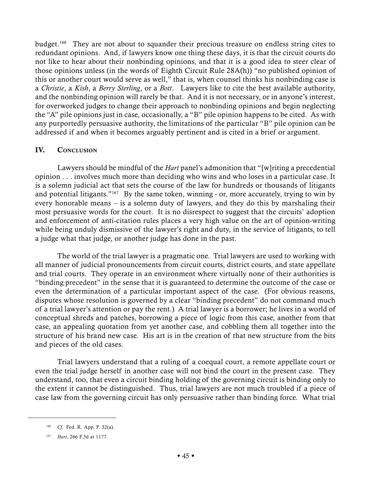budget.166 They are not about to squander their precious treasure on endless string cites to redundant opinions. And, if lawyers know one thing these days, it is that the circuit courts do not like to hear about their nonbinding opinions, and that it is a good idea to steer clear of those opinions unless (in the words of Eighth Circuit Rule 28A(h)) "no published opinion of this or another court would serve as well," that is, when counsel thinks his nonbinding case is a *Christie*, a *Kish*, a *Berry Sterling*, or a *Bott*. Lawyers like to cite the best available authority, and the nonbinding opinion will rarely be that. And it is not necessary, or in anyone's interest, for overworked judges to change their approach to nonbinding opinions and begin neglecting the "A" pile opinions just in case, occasionally, a "B" pile opinion happens to be cited. As with any purportedly persuasive authority, the limitations of the particular "B" pile opinion can be addressed if and when it becomes arguably pertinent and is cited in a brief or argument.

## IV. CONCLUSION

Lawyers should be mindful of the *Hart* panel's admonition that "[w]riting a precedential opinion . . . involves much more than deciding who wins and who loses in a particular case. It is a solemn judicial act that sets the course of the law for hundreds or thousands of litigants and potential litigants."<sup>167</sup> By the same token, winning - or, more accurately, trying to win by every honorable means – is a solemn duty of lawyers, and they do this by marshaling their most persuasive words for the court. It is no disrespect to suggest that the circuits' adoption and enforcement of anti-citation rules places a very high value on the art of opinion-writing while being unduly dismissive of the lawyer's right and duty, in the service of litigants, to tell a judge what that judge, or another judge has done in the past.

The world of the trial lawyer is a pragmatic one. Trial lawyers are used to working with all manner of judicial pronouncements from circuit courts, district courts, and state appellate and trial courts. They operate in an environment where virtually none of their authorities is "binding precedent" in the sense that it is guaranteed to determine the outcome of the case or even the determination of a particular important aspect of the case. (For obvious reasons, disputes whose resolution is governed by a clear "binding precedent" do not command much of a trial lawyer's attention or pay the rent.) A trial lawyer is a borrower; he lives in a world of conceptual shreds and patches, borrowing a piece of logic from this case, another from that case, an appealing quotation from yet another case, and cobbling them all together into the structure of his brand new case. His art is in the creation of that new structure from the bits and pieces of the old cases.

Trial lawyers understand that a ruling of a coequal court, a remote appellate court or even the trial judge herself in another case will not bind the court in the present case. They understand, too, that even a circuit binding holding of the governing circuit is binding only to the extent it cannot be distinguished. Thus, trial lawyers are not much troubled if a piece of case law from the governing circuit has only persuasive rather than binding force. What trial

<sup>166</sup> *Cf.* Fed. R. App. P. 32(a).

<sup>167</sup> *Hart*, 266 F.3d at 1177.